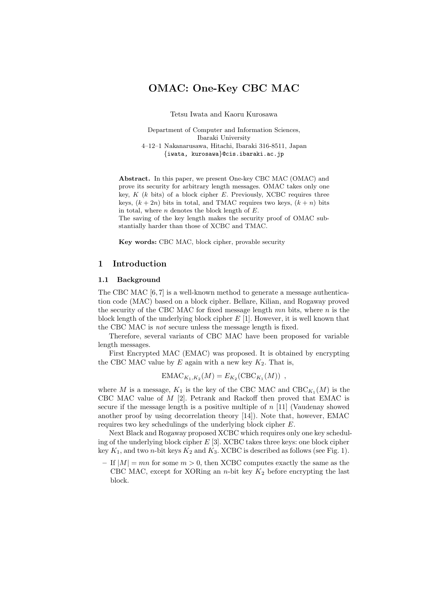# **OMAC: One-Key CBC MAC**

Tetsu Iwata and Kaoru Kurosawa

Department of Computer and Information Sciences, Ibaraki University 4–12–1 Nakanarusawa, Hitachi, Ibaraki 316-8511, Japan {iwata, kurosawa}@cis.ibaraki.ac.jp

**Abstract.** In this paper, we present One-key CBC MAC (OMAC) and prove its security for arbitrary length messages. OMAC takes only one key, *K* (*k* bits) of a block cipher *E*. Previously, XCBC requires three keys,  $(k + 2n)$  bits in total, and TMAC requires two keys,  $(k + n)$  bits in total, where *n* denotes the block length of *E*.

The saving of the key length makes the security proof of OMAC substantially harder than those of XCBC and TMAC.

**Key words:** CBC MAC, block cipher, provable security

### **1 Introduction**

### **1.1 Background**

The CBC MAC [6, 7] is a well-known method to generate a message authentication code (MAC) based on a block cipher. Bellare, Kilian, and Rogaway proved the security of the CBC MAC for fixed message length  $mn$  bits, where  $n$  is the block length of the underlying block cipher  $E[1]$ . However, it is well known that the CBC MAC is *not* secure unless the message length is fixed.

Therefore, several variants of CBC MAC have been proposed for variable length messages.

First Encrypted MAC (EMAC) was proposed. It is obtained by encrypting the CBC MAC value by  $E$  again with a new key  $K_2$ . That is,

$$
EMAC_{K_1,K_2}(M) = E_{K_2}(CBC_{K_1}(M)),
$$

where M is a message,  $K_1$  is the key of the CBC MAC and  $CBC_{K_1}(M)$  is the CBC MAC value of M [2]. Petrank and Rackoff then proved that EMAC is secure if the message length is a positive multiple of  $n$  [11] (Vaudenay showed another proof by using decorrelation theory [14]). Note that, however, EMAC requires two key schedulings of the underlying block cipher E.

Next Black and Rogaway proposed XCBC which requires only one key scheduling of the underlying block cipher  $E$  [3]. XCBC takes three keys: one block cipher key  $K_1$ , and two *n*-bit keys  $K_2$  and  $K_3$ . XCBC is described as follows (see Fig. 1).

 $-$  If  $|M| = mn$  for some  $m > 0$ , then XCBC computes exactly the same as the CBC MAC, except for XORing an  $n$ -bit key  $K_2$  before encrypting the last block.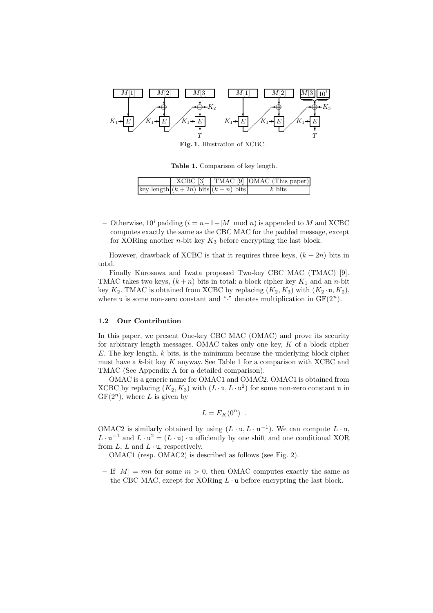

**Fig. 1.** Illustration of XCBC.

**Table 1.** Comparison of key length.

|                                       | $XCBC$ [3] TMAC [9] OMAC (This paper)] |
|---------------------------------------|----------------------------------------|
| key length $(k+2n)$ bits $(k+n)$ bits | $k$ bits                               |

**–** Otherwise, 10*<sup>i</sup>* padding (i = n−1−|M| mod n) is appended to M and XCBC computes exactly the same as the CBC MAC for the padded message, except for XORing another  $n$ -bit key  $K_3$  before encrypting the last block.

However, drawback of XCBC is that it requires three keys,  $(k + 2n)$  bits in total.

Finally Kurosawa and Iwata proposed Two-key CBC MAC (TMAC) [9]. TMAC takes two keys,  $(k+n)$  bits in total: a block cipher key  $K_1$  and an n-bit key  $K_2$ . TMAC is obtained from XCBC by replacing  $(K_2, K_3)$  with  $(K_2 \cdot \mathfrak{u}, K_2)$ , where **u** is some non-zero constant and "." denotes multiplication in  $GF(2<sup>n</sup>)$ .

#### **1.2 Our Contribution**

In this paper, we present One-key CBC MAC (OMAC) and prove its security for arbitrary length messages. OMAC takes only one key,  $K$  of a block cipher  $E$ . The key length,  $k$  bits, is the minimum because the underlying block cipher must have a  $k$ -bit key  $K$  anyway. See Table 1 for a comparison with XCBC and TMAC (See Appendix A for a detailed comparison).

OMAC is a generic name for OMAC1 and OMAC2. OMAC1 is obtained from XCBC by replacing  $(K_2, K_3)$  with  $(L \cdot \mathfrak{u}, L \cdot \mathfrak{u}^2)$  for some non-zero constant u in  $GF(2^n)$ , where L is given by

$$
L = E_K(0^n) .
$$

OMAC2 is similarly obtained by using  $(L \cdot \mathfrak{u}, L \cdot \mathfrak{u}^{-1})$ . We can compute  $L \cdot \mathfrak{u}$ ,  $L \cdot \mathbf{u}^{-1}$  and  $L \cdot \mathbf{u}^{2} = (L \cdot \mathbf{u}) \cdot \mathbf{u}$  efficiently by one shift and one conditional XOR from  $L, L$  and  $L \cdot \mathbf{u}$ , respectively.

OMAC1 (resp. OMAC2) is described as follows (see Fig. 2).

 $-$  If  $|M| = mn$  for some  $m > 0$ , then OMAC computes exactly the same as the CBC MAC, except for XORing  $L \cdot u$  before encrypting the last block.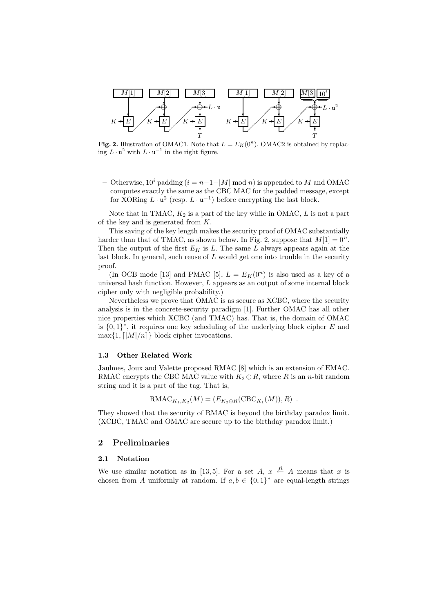

**Fig. 2.** Illustration of OMAC1. Note that  $L = E_K(0^n)$ . OMAC2 is obtained by replacing  $L \cdot \mathbf{u}^2$  with  $L \cdot \mathbf{u}^{-1}$  in the right figure.

**–** Otherwise, 10*<sup>i</sup>* padding (i = n−1−|M| mod n) is appended to M and OMAC computes exactly the same as the CBC MAC for the padded message, except for XORing  $L \cdot \mathbf{u}^2$  (resp.  $L \cdot \mathbf{u}^{-1}$ ) before encrypting the last block.

Note that in TMAC,  $K_2$  is a part of the key while in OMAC,  $L$  is not a part of the key and is generated from  $K$ .

This saving of the key length makes the security proof of OMAC substantially harder than that of TMAC, as shown below. In Fig. 2, suppose that  $M[1] = 0<sup>n</sup>$ . Then the output of the first  $E_K$  is L. The same L always appears again at the last block. In general, such reuse of  $L$  would get one into trouble in the security proof.

(In OCB mode [13] and PMAC [5],  $L = E_K(0^n)$  is also used as a key of a universal hash function. However,  $L$  appears as an output of some internal block cipher only with negligible probability.)

Nevertheless we prove that OMAC is as secure as XCBC, where the security analysis is in the concrete-security paradigm [1]. Further OMAC has all other nice properties which XCBC (and TMAC) has. That is, the domain of OMAC is  $\{0,1\}^*$ , it requires one key scheduling of the underlying block cipher E and  $\max\{1, \lceil |M|/n \rceil\}$  block cipher invocations.

### **1.3 Other Related Work**

Jaulmes, Joux and Valette proposed RMAC [8] which is an extension of EMAC. RMAC encrypts the CBC MAC value with  $K_2 \oplus R$ , where R is an n-bit random string and it is a part of the tag. That is,

$$
\text{RMAC}_{K_1,K_2}(M) = (E_{K_2 \oplus R}(\text{CBC}_{K_1}(M)), R) .
$$

They showed that the security of RMAC is beyond the birthday paradox limit. (XCBC, TMAC and OMAC are secure up to the birthday paradox limit.)

# **2 Preliminaries**

#### **2.1 Notation**

We use similar notation as in [13,5]. For a set  $A, x \stackrel{R}{\leftarrow} A$  means that x is chosen from A uniformly at random. If  $a, b \in \{0, 1\}^*$  are equal-length strings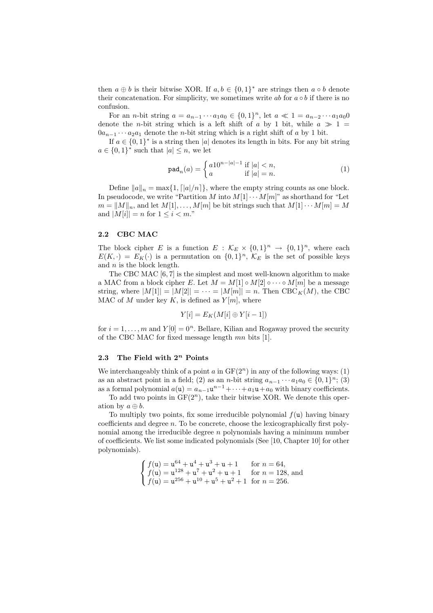then  $a \oplus b$  is their bitwise XOR. If  $a, b \in \{0,1\}^*$  are strings then  $a \circ b$  denote their concatenation. For simplicity, we sometimes write ab for  $a \circ b$  if there is no confusion.

For an *n*-bit string  $a = a_{n-1} \cdots a_1 a_0 \in \{0, 1\}^n$ , let  $a \ll 1 = a_{n-2} \cdots a_1 a_0 0$ denote the *n*-bit string which is a left shift of a by 1 bit, while  $a \gg 1$  $0a_{n-1} \cdots a_2 a_1$  denote the *n*-bit string which is a right shift of a by 1 bit.

If  $a \in \{0,1\}^*$  is a string then |a| denotes its length in bits. For any bit string  $a \in \{0,1\}^*$  such that  $|a| \leq n$ , we let

$$
\text{pad}_n(a) = \begin{cases} a10^{n-|a|-1} \text{ if } |a| < n, \\ a & \text{if } |a| = n. \end{cases} \tag{1}
$$

Define  $||a||_n = \max\{1, \lceil |a|/n \rceil\}$ , where the empty string counts as one block. In pseudocode, we write "Partition M into  $M[1] \cdots M[m]$ " as shorthand for "Let  $m = ||M||_n$ , and let  $M[1], \ldots, M[m]$  be bit strings such that  $M[1] \cdots M[m] = M$ and  $|M[i]| = n$  for  $1 \leq i < m$ ."

#### **2.2 CBC MAC**

The block cipher E is a function  $E : \mathcal{K}_E \times \{0,1\}^n \to \{0,1\}^n$ , where each  $E(K, \cdot) = E_K(\cdot)$  is a permutation on  $\{0,1\}^n$ ,  $\mathcal{K}_E$  is the set of possible keys and  $n$  is the block length.

The CBC MAC [6, 7] is the simplest and most well-known algorithm to make a MAC from a block cipher E. Let  $M = M[1] \circ M[2] \circ \cdots \circ M[m]$  be a message string, where  $|M[1]| = |M[2]| = \cdots = |M[m]| = n$ . Then  $CBC_K(M)$ , the CBC MAC of M under key K, is defined as  $Y[m]$ , where

$$
Y[i] = E_K(M[i] \oplus Y[i-1])
$$

for  $i = 1, \ldots, m$  and  $Y[0] = 0<sup>n</sup>$ . Bellare, Kilian and Rogaway proved the security of the CBC MAC for fixed message length mn bits [1].

#### **2.3 The Field with 2***<sup>n</sup>* **Points**

We interchangeably think of a point  $a$  in  $GF(2<sup>n</sup>)$  in any of the following ways: (1) as an abstract point in a field; (2) as an *n*-bit string  $a_{n-1} \cdots a_1 a_0 \in \{0,1\}^n$ ; (3) as a formal polynomial  $a(\mathbf{u}) = a_{n-1}\mathbf{u}^{n-1} + \cdots + a_1\mathbf{u} + a_0$  with binary coefficients.

To add two points in  $GF(2<sup>n</sup>)$ , take their bitwise XOR. We denote this operation by  $a \oplus b$ .

To multiply two points, fix some irreducible polynomial  $f(u)$  having binary coefficients and degree  $n$ . To be concrete, choose the lexicographically first polynomial among the irreducible degree  $n$  polynomials having a minimum number of coefficients. We list some indicated polynomials (See [10, Chapter 10] for other polynomials).

$$
\begin{cases}\nf(\mathbf{u}) = \mathbf{u}^{64} + \mathbf{u}^4 + \mathbf{u}^3 + \mathbf{u} + 1 & \text{for } n = 64, \\
f(\mathbf{u}) = \mathbf{u}^{128} + \mathbf{u}^7 + \mathbf{u}^2 + \mathbf{u} + 1 & \text{for } n = 128, \text{ and} \\
f(\mathbf{u}) = \mathbf{u}^{256} + \mathbf{u}^{10} + \mathbf{u}^5 + \mathbf{u}^2 + 1 & \text{for } n = 256.\n\end{cases}
$$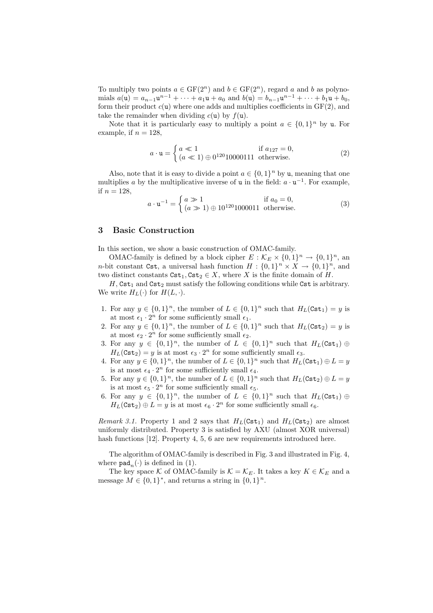To multiply two points  $a \in \mathrm{GF}(2^n)$  and  $b \in \mathrm{GF}(2^n)$ , regard a and b as polynomials  $a(\mathbf{u}) = a_{n-1}\mathbf{u}^{n-1} + \cdots + a_1\mathbf{u} + a_0$  and  $b(\mathbf{u}) = b_{n-1}\mathbf{u}^{n-1} + \cdots + b_1\mathbf{u} + b_0$ , form their product  $c(u)$  where one adds and multiplies coefficients in  $GF(2)$ , and take the remainder when dividing  $c(\mathbf{u})$  by  $f(\mathbf{u})$ .

Note that it is particularly easy to multiply a point  $a \in \{0,1\}^n$  by u. For example, if  $n = 128$ ,

$$
a \cdot \mathbf{u} = \begin{cases} a \ll 1 & \text{if } a_{127} = 0, \\ (a \ll 1) \oplus 0^{120} 10000111 & \text{otherwise.} \end{cases}
$$
 (2)

Also, note that it is easy to divide a point  $a \in \{0, 1\}^n$  by u, meaning that one multiplies a by the multiplicative inverse of u in the field:  $a \cdot u^{-1}$ . For example, if  $n = 128$ ,

$$
a \cdot \mathbf{u}^{-1} = \begin{cases} a \gg 1 & \text{if } a_0 = 0, \\ (a \gg 1) \oplus 10^{120} 1000011 & \text{otherwise.} \end{cases}
$$
(3)

### **3 Basic Construction**

In this section, we show a basic construction of OMAC-family.

OMAC-family is defined by a block cipher  $E : \mathcal{K}_E \times \{0,1\}^n \to \{0,1\}^n$ , an *n*-bit constant Cst, a universal hash function  $H : \{0,1\}^n \times X \to \{0,1\}^n$ , and two distinct constants  $\texttt{Cst}_1, \texttt{Cst}_2 \in X$ , where X is the finite domain of H.

H, Cst<sub>1</sub> and Cst<sub>2</sub> must satisfy the following conditions while Cst is arbitrary. We write  $H_L(\cdot)$  for  $H(L, \cdot)$ .

- 1. For any  $y \in \{0,1\}^n$ , the number of  $L \in \{0,1\}^n$  such that  $H_L(\text{Cst}_1) = y$  is at most  $\epsilon_1 \cdot 2^n$  for some sufficiently small  $\epsilon_1$ .
- 2. For any  $y \in \{0,1\}^n$ , the number of  $L \in \{0,1\}^n$  such that  $H_L(\text{Cst}_2) = y$  is at most  $\epsilon_2 \cdot 2^n$  for some sufficiently small  $\epsilon_2.$
- 3. For any  $y \in \{0,1\}^n$ , the number of  $L \in \{0,1\}^n$  such that  $H_L(\text{Cst}_1) \oplus$  $H_L(\text{Cst}_2) = y$  is at most  $\epsilon_3 \cdot 2^n$  for some sufficiently small  $\epsilon_3$ .
- 4. For any  $y \in \{0,1\}^n$ , the number of  $L \in \{0,1\}^n$  such that  $H_L(\text{Cst}_1) \oplus L = y$ is at most  $\epsilon_4 \cdot 2^n$  for some sufficiently small  $\epsilon_4$ .
- 5. For any  $y \in \{0,1\}^n$ , the number of  $L \in \{0,1\}^n$  such that  $H_L(\text{Cst}_2) \oplus L = y$ is at most  $\epsilon_5 \cdot 2^n$  for some sufficiently small  $\epsilon_5$ .
- 6. For any  $y \in \{0,1\}^n$ , the number of  $L \in \{0,1\}^n$  such that  $H_L(\text{Cst}_1) \oplus$  $H_L(\texttt{Cst}_2) \oplus L = y$  is at most  $\epsilon_6 \cdot 2^n$  for some sufficiently small  $\epsilon_6$ .

*Remark 3.1.* Property 1 and 2 says that  $H_L(\text{Cst}_1)$  and  $H_L(\text{Cst}_2)$  are almost uniformly distributed. Property 3 is satisfied by AXU (almost XOR universal) hash functions [12]. Property 4, 5, 6 are new requirements introduced here.

The algorithm of OMAC-family is described in Fig. 3 and illustrated in Fig. 4, where  $\texttt{pad}_n(\cdot)$  is defined in (1).

The key space K of OMAC-family is  $\mathcal{K} = \mathcal{K}_E$ . It takes a key  $K \in \mathcal{K}_E$  and a message  $M \in \{0,1\}^*$ , and returns a string in  $\{0,1\}^n$ .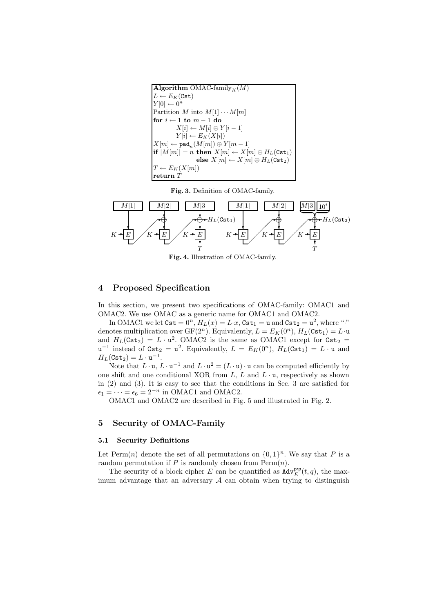```
Algorithm OMAC-family<sub>K</sub>(M)
L \leftarrow E_K(\texttt{Cst})Y[0] \leftarrow 0^nPartition M into M[1] \cdots M[m]for i \leftarrow 1 to m - 1 do
           X[i] \leftarrow M[i] \oplus Y[i-1]Y[i] \leftarrow E_K(X[i])X[m] \leftarrow pad<sub>n</sub>(M[m]) \oplus Y[m-1]\textbf{if } |M[m]| = n \textbf{ then } X[m] \leftarrow X[m] \oplus H_L(\texttt{Cst}_1)\mathbf{else} \ X[m] \leftarrow X[m] \oplus H_L(\mathtt{Cst}_2)T \leftarrow E_K(X[m])return T
```
**Fig. 3.** Definition of OMAC-family.



**Fig. 4.** Illustration of OMAC-family.

### **4 Proposed Specification**

In this section, we present two specifications of OMAC-family: OMAC1 and OMAC2. We use OMAC as a generic name for OMAC1 and OMAC2.

In OMAC1 we let  $\texttt{Cst} = 0^n$ ,  $H_L(x) = L \cdot x$ ,  $\texttt{Cst}_1 = u$  and  $\texttt{Cst}_2 = u^2$ , where "." denotes multiplication over  $GF(2^n)$ . Equivalently,  $L = E_K(0^n)$ ,  $H_L(\text{Cst}_1) = L \cdot \text{u}$ and  $H_L(\text{Cst}_2) = L \cdot u^2$ . OMAC2 is the same as OMAC1 except for  $\text{Cst}_2$  = u<sup>-1</sup> instead of  $\text{Cst}_2 = u^2$ . Equivalently,  $L = E_K(0^n)$ ,  $H_L(\text{Cst}_1) = L \cdot u$  and  $H_L(\texttt{Cst}_2) = L \cdot \mathbf{u}^{-1}.$ 

Note that  $L \cdot \mathbf{u}$ ,  $L \cdot \mathbf{u}^{-1}$  and  $L \cdot \mathbf{u}^2 = (L \cdot \mathbf{u}) \cdot \mathbf{u}$  can be computed efficiently by one shift and one conditional XOR from  $L, L$  and  $L \cdot \mathbf{u}$ , respectively as shown in (2) and (3). It is easy to see that the conditions in Sec. 3 are satisfied for  $\epsilon_1 = \cdots = \epsilon_6 = 2^{-n}$  in OMAC1 and OMAC2.

OMAC1 and OMAC2 are described in Fig. 5 and illustrated in Fig. 2.

### **5 Security of OMAC-Family**

### **5.1 Security Definitions**

Let Perm $(n)$  denote the set of all permutations on  $\{0, 1\}^n$ . We say that P is a random permutation if P is randomly chosen from  $\text{Perm}(n)$ .

The security of a block cipher E can be quantified as  $\text{Adv}_{E}^{\text{prp}}(t, q)$ , the maximum advantage that an adversary  $A$  can obtain when trying to distinguish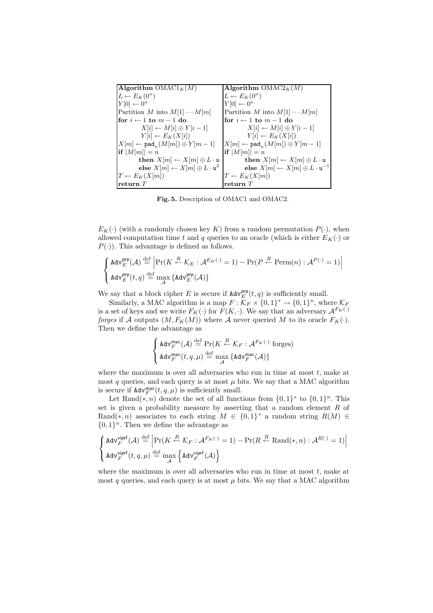| Algorithm $OMAC1_K(M)$                                     | Algorithm $OMAC2_K(M)$                                     |
|------------------------------------------------------------|------------------------------------------------------------|
| $L \leftarrow E_K(0^n)$                                    | $L \leftarrow E_K(0^n)$                                    |
| $Y[0] \leftarrow 0^n$                                      | $Y[0] \leftarrow 0^n$                                      |
| Partition M into $M[1]\cdots M[m]$                         | Partition M into $M[1]\cdots M[m]$                         |
| for $i \leftarrow 1$ to $m-1$ do                           | for $i \leftarrow 1$ to $m-1$ do                           |
| $X[i] \leftarrow M[i] \oplus Y[i-1]$                       | $X[i] \leftarrow M[i] \oplus Y[i-1]$                       |
| $Y[i] \leftarrow E_K(X[i])$                                | $Y[i] \leftarrow E_K(X[i])$                                |
| $ X[m] \leftarrow$ pad <sub>n</sub> $(M[m]) \oplus Y[m-1]$ | $ X[m] \leftarrow$ pad <sub>n</sub> $(M[m]) \oplus Y[m-1]$ |
| if $ M[m] =n$                                              | if $ M[m] =n$                                              |
| then $X[m] \leftarrow X[m] \oplus L \cdot u$               | then $X[m] \leftarrow X[m] \oplus L \cdot u$               |
| else $X[m] \leftarrow X[m] \oplus L \cdot \mathbf{u}^2$    | else $X[m] \leftarrow X[m] \oplus L \cdot \mathbf{u}^{-1}$ |
| $T \leftarrow E_K(X[m])$                                   | $T \leftarrow E_K(X[m])$                                   |
| return $\scriptstyle T$                                    | return $T$                                                 |

**Fig. 5.** Description of OMAC1 and OMAC2.

 $E_K(\cdot)$  (with a randomly chosen key K) from a random permutation  $P(\cdot)$ , when allowed computation time t and q queries to an oracle (which is either  $E_K(\cdot)$  or  $P(\cdot)$ ). This advantage is defined as follows.

$$
\label{eq:adw} \left\{ \begin{aligned} &\text{Adv}^{\text{prp}}_{E}(\mathcal{A}) \overset{\text{def}}{=} \left| \Pr(K \overset{R}{\leftarrow} \mathcal{K}_{E}: \mathcal{A}^{E_{K}(\cdot)} = 1) - \Pr(P \overset{R}{\leftarrow} \text{Perm}(n): \mathcal{A}^{P(\cdot)} = 1) \right| \\ &\text{Adv}^{\text{prp}}_{E}(t, q) \overset{\text{def}}{=} \max_{\mathcal{A}} \left\{ \text{Adv}^{\text{prp}}_{E}(\mathcal{A}) \right\} \end{aligned} \right.
$$

We say that a block cipher E is secure if  $\text{Adv}_{E}^{\text{prp}}(t, q)$  is sufficiently small.

Similarly, a MAC algorithm is a map  $F : \mathcal{K}_F \times \{0,1\}^* \to \{0,1\}^n$ , where  $\mathcal{K}_F$ is a set of keys and we write  $F_K(\cdot)$  for  $F(K, \cdot)$ . We say that an adversary  $\mathcal{A}^{F_K(\cdot)}$ *forges* if A outputs  $(M, F_K(M))$  where A never queried M to its oracle  $F_K(\cdot)$ . Then we define the advantage as

$$
\left\{\begin{aligned} &\operatorname{Adv}^{\text{mac}}_F(\mathcal{A}) \stackrel{\text{def}}{=} \Pr(K \stackrel{R}{\leftarrow} \mathcal{K}_F : \mathcal{A}^{F_K(\cdot)} \text{ forges})\\ &\operatorname{Adv}^{\text{mac}}_F(t, q, \mu) \stackrel{\text{def}}{=} \max_{\mathcal{A}} \left\{\operatorname{Adv}^{\text{mac}}_F(\mathcal{A})\right\} \end{aligned}\right.
$$

where the maximum is over all adversaries who run in time at most  $t$ , make at most q queries, and each query is at most  $\mu$  bits. We say that a MAC algorithm is secure if  $\text{Adv}_{F}^{\text{mac}}(t, q, \mu)$  is sufficiently small.

Let Rand $(*, n)$  denote the set of all functions from  $\{0, 1\}^*$  to  $\{0, 1\}^n$ . This set is given a probability measure by asserting that a random element  $R$  of Rand(\*, n) associates to each string  $M \in \{0,1\}^*$  a random string  $R(M) \in$  ${0, 1}^n$ . Then we define the advantage as

$$
\left\{\begin{aligned} &\text{Adv}^{\text{viprf}}_F(\mathcal{A}) \stackrel{\text{def}}{=} \left|\Pr(K \stackrel{R}{\leftarrow} \mathcal{K}_F: \mathcal{A}^{F_K(\cdot)} = 1) - \Pr(R \stackrel{R}{\leftarrow} \text{Rand}(*, n): \mathcal{A}^{R(\cdot)} = 1)\right| \\ &\text{Adv}^{\text{viprf}}_F(t, q, \mu) \stackrel{\text{def}}{=} \max_{\mathcal{A}} \left\{\text{Adv}^{\text{viprf}}_F(\mathcal{A})\right\} \end{aligned}\right.
$$

where the maximum is over all adversaries who run in time at most  $t$ , make at most q queries, and each query is at most  $\mu$  bits. We say that a MAC algorithm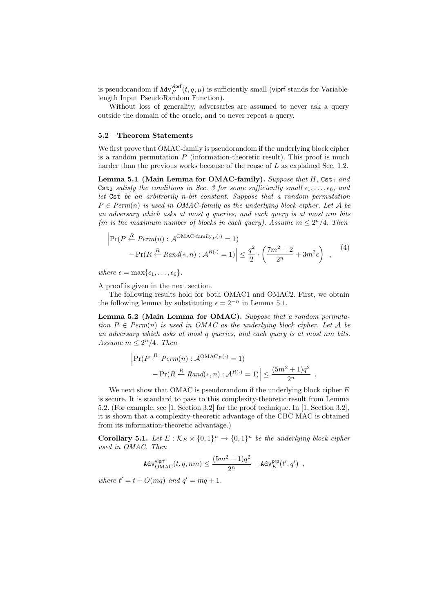is pseudorandom if  $\text{Adv}_{F}^{\text{vipff}}(t, q, \mu)$  is sufficiently small (viprf stands for Variablelength Input PseudoRandom Function).

Without loss of generality, adversaries are assumed to never ask a query outside the domain of the oracle, and to never repeat a query.

### **5.2 Theorem Statements**

We first prove that OMAC-family is pseudorandom if the underlying block cipher is a random permutation  $P$  (information-theoretic result). This proof is much harder than the previous works because of the reuse of L as explained Sec. 1.2.

Lemma 5.1 (Main Lemma for OMAC-family). *Suppose that* H, Cst<sub>1</sub> and Cst<sub>2</sub> *satisfy the conditions in Sec. 3 for some sufficiently small*  $\epsilon_1, \ldots, \epsilon_6$ *, and let* Cst *be an arbitrarily* n*-bit constant. Suppose that a random permutation*  $P \in Perm(n)$  *is used in OMAC-family as the underlying block cipher. Let* A *be an adversary which asks at most* q *queries, and each query is at most* nm *bits (m is the maximum number of blocks in each query). Assume*  $m \leq 2^n/4$ *. Then* 

$$
\left|\Pr(P \stackrel{R}{\leftarrow} Perm(n) : \mathcal{A}^{OMAC-family_P(\cdot)} = 1) - \Pr(R \stackrel{R}{\leftarrow} Rand(*, n) : \mathcal{A}^{R(\cdot)} = 1)\right| \le \frac{q^2}{2} \cdot \left(\frac{7m^2 + 2}{2^n} + 3m^2\epsilon\right) ,\tag{4}
$$

*where*  $\epsilon = \max{\{\epsilon_1, \ldots, \epsilon_6\}}$ .

A proof is given in the next section.

The following results hold for both OMAC1 and OMAC2. First, we obtain the following lemma by substituting  $\epsilon = 2^{-n}$  in Lemma 5.1.

**Lemma 5.2 (Main Lemma for OMAC).** *Suppose that a random permutation*  $P \in Perm(n)$  *is used in OMAC as the underlying block cipher. Let* A *be an adversary which asks at most* q *queries, and each query is at most* nm *bits. Assume*  $m \leq 2^n/4$ *. Then* 

$$
\left| \Pr(P \stackrel{R}{\leftarrow} Perm(n) : \mathcal{A}^{OMAC_P(\cdot)} = 1) - \Pr(R \stackrel{R}{\leftarrow} Rand(*, n) : \mathcal{A}^{R(\cdot)} = 1) \right| \le \frac{(5m^2 + 1)q^2}{2^n} .
$$

We next show that OMAC is pseudorandom if the underlying block cipher  $E$ is secure. It is standard to pass to this complexity-theoretic result from Lemma 5.2. (For example, see [1, Section 3.2] for the proof technique. In [1, Section 3.2], it is shown that a complexity-theoretic advantage of the CBC MAC is obtained from its information-theoretic advantage.)

**Corollary 5.1.** *Let*  $E : \mathcal{K}_E \times \{0,1\}^n \to \{0,1\}^n$  *be the underlying block cipher used in OMAC. Then*

$$
\mathsf{Adv}_{\mathsf{OMAC}}^{\mathsf{viprf}}(t,q,nm) \leq \frac{(5m^2+1)q^2}{2^n} + \mathsf{Adv}_{E}^{\mathsf{prp}}(t',q')\enspace,
$$

*where*  $t' = t + O(mq)$  *and*  $q' = mq + 1$ *.*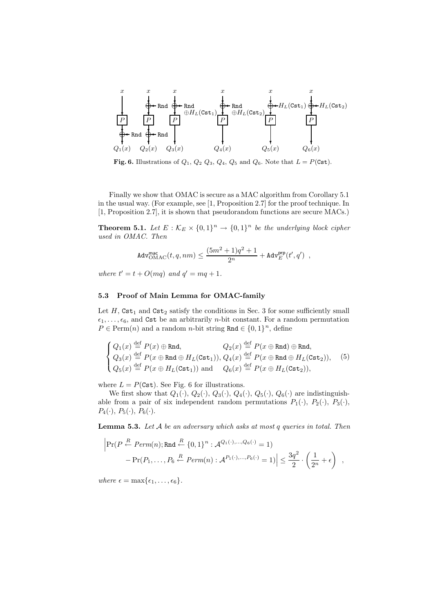

**Fig. 6.** Illustrations of  $Q_1$ ,  $Q_2$   $Q_3$ ,  $Q_4$ ,  $Q_5$  and  $Q_6$ . Note that  $L = P(\text{Cst})$ .

Finally we show that OMAC is secure as a MAC algorithm from Corollary 5.1 in the usual way. (For example, see [1, Proposition 2.7] for the proof technique. In [1, Proposition 2.7], it is shown that pseudorandom functions are secure MACs.)

**Theorem 5.1.** *Let*  $E : \mathcal{K}_E \times \{0,1\}^n \to \{0,1\}^n$  *be the underlying block cipher used in OMAC. Then*

$$
\mathsf{Adv}_{\mathsf{OMAC}}^{\mathsf{mac}}(t,q,nm) \leq \frac{(5m^2+1)q^2+1}{2^n} + \mathsf{Adv}_{E}^{\mathsf{prp}}(t',q')\enspace,
$$

*where*  $t' = t + O(mq)$  *and*  $q' = mq + 1$ *.* 

#### **5.3 Proof of Main Lemma for OMAC-family**

Let  $H$ ,  $\texttt{Cst}_1$  and  $\texttt{Cst}_2$  satisfy the conditions in Sec. 3 for some sufficiently small  $\epsilon_1,\ldots,\epsilon_6$ , and Cst be an arbitrarily *n*-bit constant. For a random permutation  $P \in \text{Perm}(n)$  and a random *n*-bit string Rnd  $\in \{0, 1\}^n$ , define

$$
\begin{cases}\nQ_1(x) \stackrel{\text{def}}{=} P(x) \oplus \text{Rnd}, & Q_2(x) \stackrel{\text{def}}{=} P(x \oplus \text{Rnd}) \oplus \text{Rnd}, \\
Q_3(x) \stackrel{\text{def}}{=} P(x \oplus \text{Rnd} \oplus H_L(\text{Cst}_1)), & Q_4(x) \stackrel{\text{def}}{=} P(x \oplus \text{Rnd} \oplus H_L(\text{Cst}_2)), \\
Q_5(x) \stackrel{\text{def}}{=} P(x \oplus H_L(\text{Cst}_1)) \text{ and } & Q_6(x) \stackrel{\text{def}}{=} P(x \oplus H_L(\text{Cst}_2)),\n\end{cases}
$$
\n(5)

where  $L = P(\text{Cst})$ . See Fig. 6 for illustrations.

We first show that  $Q_1(\cdot), Q_2(\cdot), Q_3(\cdot), Q_4(\cdot), Q_5(\cdot), Q_6(\cdot)$  are indistinguishable from a pair of six independent random permutations  $P_1(\cdot)$ ,  $P_2(\cdot)$ ,  $P_3(\cdot)$ ,  $P_4(\cdot), P_5(\cdot), P_6(\cdot).$ 

**Lemma 5.3.** *Let* A *be an adversary which asks at most* q *queries in total. Then*

$$
\left|\Pr(P \stackrel{R}{\leftarrow} Perm(n); \text{Rnd} \stackrel{R}{\leftarrow} \{0,1\}^n : \mathcal{A}^{Q_1(\cdot),\dots,Q_6(\cdot)} = 1) - \Pr(P_1,\dots,P_6 \stackrel{R}{\leftarrow} Perm(n) : \mathcal{A}^{P_1(\cdot),\dots,P_6(\cdot)} = 1)\right| \le \frac{3q^2}{2} \cdot \left(\frac{1}{2^n} + \epsilon\right) ,
$$

*where*  $\epsilon = \max{\{\epsilon_1, \ldots, \epsilon_6\}}$ .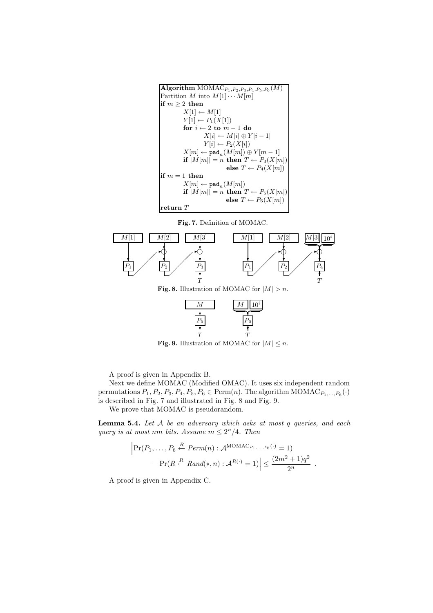







**Fig. 9.** Illustration of MOMAC for  $|M| \leq n$ .

A proof is given in Appendix B.

Next we define MOMAC (Modified OMAC). It uses six independent random permutations  $P_1, P_2, P_3, P_4, P_5, P_6 \in \text{Perm}(n)$ . The algorithm  $\text{MOMAC}_{P_1,...,P_6}(\cdot)$ is described in Fig. 7 and illustrated in Fig. 8 and Fig. 9.

We prove that MOMAC is pseudorandom.

**Lemma 5.4.** *Let* A *be an adversary which asks at most* q *queries, and each query is at most nm bits. Assume*  $m \leq 2^n/4$ *. Then* 

$$
\left|\Pr(P_1,\ldots,P_6 \stackrel{R}{\leftarrow} Perm(n) : \mathcal{A}^{\text{MOMAC}_{P_1,\ldots,P_6}(\cdot)} = 1) - \Pr(R \stackrel{R}{\leftarrow} Rand(*,n) : \mathcal{A}^{R(\cdot)} = 1)\right| \le \frac{(2m^2 + 1)q^2}{2^n} .
$$

A proof is given in Appendix C.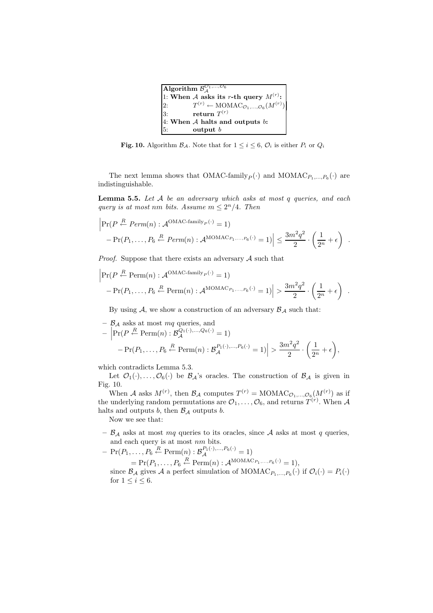| Algorithm $\overline{\mathcal{B}}_{A}^{\mathcal{O}_{1},, \mathcal{O}_{6}}$ |                                                                             |  |
|----------------------------------------------------------------------------|-----------------------------------------------------------------------------|--|
| 1: When A asks its r-th query $M^{(r)}$ :                                  |                                                                             |  |
| 2:                                                                         | $T^{(r)} \leftarrow \text{MOMAC}_{\mathcal{O}_1, , \mathcal{O}_6}(M^{(r)})$ |  |
| $\overline{3}$ :                                                           | return $T^{(r)}$                                                            |  |
|                                                                            | 4: When $A$ halts and outputs $b$ :                                         |  |
| 5:                                                                         | output $b$                                                                  |  |

**Fig. 10.** Algorithm  $\mathcal{B}_{\mathcal{A}}$ . Note that for  $1 \leq i \leq 6$ ,  $\mathcal{O}_i$  is either  $P_i$  or  $Q_i$ 

The next lemma shows that  $OMAC-family_{P}(\cdot)$  and  $MOMAC_{P_1,\ldots,P_6}(\cdot)$  are indistinguishable.

**Lemma 5.5.** *Let* A *be an adversary which asks at most* q *queries, and each query is at most nm bits. Assume*  $m \leq 2^n/4$ *. Then* 

$$
\left|\Pr(P \stackrel{R}{\leftarrow} Perm(n) : \mathcal{A}^{OMAC-family_P(\cdot)} = 1) - \Pr(P_1, \dots, P_6 \stackrel{R}{\leftarrow} Perm(n) : \mathcal{A}^{MOMAC_{P_1, \dots, P_6}(\cdot)} = 1)\right| \le \frac{3m^2q^2}{2} \cdot \left(\frac{1}{2^n} + \epsilon\right) .
$$

*Proof.* Suppose that there exists an adversary A such that

$$
\left| \Pr(P \stackrel{R}{\leftarrow} \text{Perm}(n) : \mathcal{A}^{\text{OMAC-family}_{P}(\cdot)} = 1) - \Pr(P_1, ..., P_6 \stackrel{R}{\leftarrow} \text{Perm}(n) : \mathcal{A}^{\text{MOMAC}_{P_1, ..., P_6}(\cdot)} = 1) \right| > \frac{3m^2q^2}{2} \cdot \left(\frac{1}{2^n} + \epsilon\right) .
$$

By using  $A$ , we show a construction of an adversary  $B_A$  such that:

$$
- \mathcal{B}_{\mathcal{A}} \text{ asks at most } mq \text{ queries, and}
$$
  
- 
$$
\left| \Pr(P \stackrel{R}{\leftarrow} \text{Perm}(n) : \mathcal{B}_{\mathcal{A}}^{Q_1(\cdot), \dots, Q_6(\cdot)} = 1) \right|
$$
  
- 
$$
\left| \Pr(P_1, \dots, P_6 \stackrel{R}{\leftarrow} \text{Perm}(n) : \mathcal{B}_{\mathcal{A}}^{P_1(\cdot), \dots, P_6(\cdot)} = 1) \right| > \frac{3m^2q^2}{2} \cdot \left( \frac{1}{2^n} + \epsilon \right),
$$

which contradicts Lemma 5.3.

Let  $\mathcal{O}_1(\cdot),\ldots,\mathcal{O}_6(\cdot)$  be  $\mathcal{B}_\mathcal{A}$ 's oracles. The construction of  $\mathcal{B}_\mathcal{A}$  is given in Fig. 10.

When A asks  $M^{(r)}$ , then  $\mathcal{B}_\mathcal{A}$  computes  $T^{(r)} = \text{MOMAC}_{\mathcal{O}_1,\dots,\mathcal{O}_6}(M^{(r)})$  as if the underlying random permutations are  $\mathcal{O}_1, \ldots, \mathcal{O}_6$ , and returns  $T^{(r)}$ . When A halts and outputs b, then  $\mathcal{B}_{\mathcal{A}}$  outputs b.

Now we see that:

 $\mathcal{B}_{\mathcal{A}}$  asks at most  $mq$  queries to its oracles, since  $\mathcal{A}$  asks at most  $q$  queries, and each query is at most nm bits.

- 
$$
\Pr(P_1, ..., P_6 \stackrel{R}{\leftarrow} \text{Perm}(n) : \mathcal{B}_{\mathcal{A}}^{P_1(\cdot), ..., P_6(\cdot)} = 1)
$$
  
\n=  $\Pr(P_1, ..., P_6 \stackrel{R}{\leftarrow} \text{Perm}(n) : \mathcal{A}^{\text{MOMAC}_{P_1, ..., P_6}(\cdot)} = 1),$   
\nsince  $\mathcal{B}_{\mathcal{A}}$  gives  $\mathcal{A}$  a perfect simulation of MOMAC<sub>P\_1, ..., P\_6</sub>(\cdot) if  $\mathcal{O}_i(\cdot) = P_i(\cdot)$   
\nfor  $1 \leq i \leq 6$ .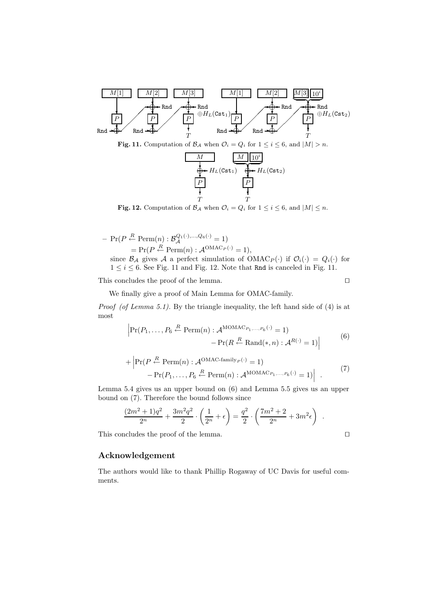

**Fig. 12.** Computation of  $\mathcal{B}_\mathcal{A}$  when  $\mathcal{O}_i = Q_i$  for  $1 \leq i \leq 6$ , and  $|M| \leq n$ .

$$
- \Pr(P \stackrel{R}{\leftarrow} \text{Perm}(n) : \mathcal{B}_{\mathcal{A}}^{Q_1(\cdot),\dots,Q_6(\cdot)} = 1)
$$
  
\n
$$
= \Pr(P \stackrel{R}{\leftarrow} \text{Perm}(n) : \mathcal{A}^{\text{OMAC}_P(\cdot)} = 1),
$$
  
\nsince  $\mathcal{B}_{\mathcal{A}}$  gives  $\mathcal{A}$  a perfect simulation of  $\text{OMAC}_P(\cdot)$  if  $\mathcal{O}_i(\cdot) = Q_i(\cdot)$  for  $1 \leq i \leq 6$ . See Fig. 11 and Fig. 12. Note that **Rad** is canceled in Fig. 11.

This concludes the proof of the lemma.  $\Box$ 

*Proof (of Lemma 5.1).* By the triangle inequality, the left hand side of (4) is at most

We finally give a proof of Main Lemma for OMAC-family.

$$
\left| \Pr(P_1, \dots, P_6 \stackrel{R}{\leftarrow} \text{Perm}(n) : \mathcal{A}^{\text{MOMAC}_{P_1, \dots, P_6}(\cdot)} = 1) - \Pr(R \stackrel{R}{\leftarrow} \text{Rand}(*, n) : \mathcal{A}^{R(\cdot)} = 1) \right| \tag{6}
$$

+ 
$$
\left|\Pr(P \stackrel{R}{\leftarrow} \text{Perm}(n) : \mathcal{A}^{\text{OMAC-family}_P(\cdot)} = 1)\right|
$$
  
-  $\Pr(P_1, \ldots, P_6 \stackrel{R}{\leftarrow} \text{Perm}(n) : \mathcal{A}^{\text{MOMAC}_{P_1, \ldots, P_6}(\cdot)} = 1)\right|$ . (7)

Lemma 5.4 gives us an upper bound on (6) and Lemma 5.5 gives us an upper bound on (7). Therefore the bound follows since

$$
\frac{(2m^2+1)q^2}{2^n} + \frac{3m^2q^2}{2} \cdot \left(\frac{1}{2^n} + \epsilon\right) = \frac{q^2}{2} \cdot \left(\frac{7m^2+2}{2^n} + 3m^2\epsilon\right) .
$$

This concludes the proof of the lemma.  $\Box$ 

# **Acknowledgement**

The authors would like to thank Phillip Rogaway of UC Davis for useful comments.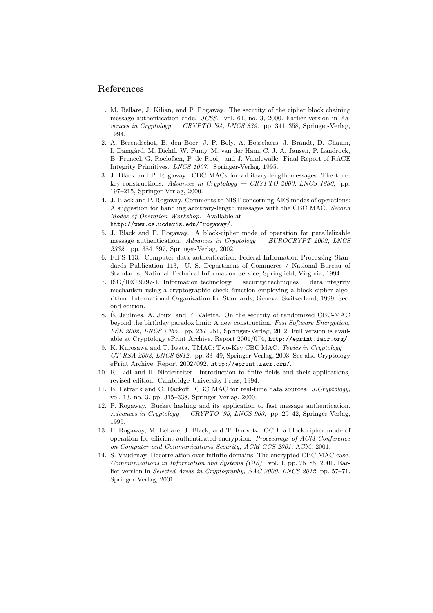# **References**

- 1. M. Bellare, J. Kilian, and P. Rogaway. The security of the cipher block chaining message authentication code. *JCSS,* vol. 61, no. 3, 2000. Earlier version in *Advances in Cryptology — CRYPTO '94, LNCS 839,* pp. 341–358, Springer-Verlag, 1994.
- 2. A. Berendschot, B. den Boer, J. P. Boly, A. Bosselaers, J. Brandt, D. Chaum, I. Damgård, M. Dichtl, W. Fumy, M. van der Ham, C. J. A. Jansen, P. Landrock, B. Preneel, G. Roelofsen, P. de Rooij, and J. Vandewalle. Final Report of RACE Integrity Primitives. *LNCS 1007,* Springer-Verlag, 1995.
- 3. J. Black and P. Rogaway. CBC MACs for arbitrary-length messages: The three key constructions. *Advances in Cryptology — CRYPTO 2000, LNCS 1880,* pp. 197–215, Springer-Verlag, 2000.
- 4. J. Black and P. Rogaway. Comments to NIST concerning AES modes of operations: A suggestion for handling arbitrary-length messages with the CBC MAC. *Second Modes of Operation Workshop.* Available at http://www.cs.ucdavis.edu/~rogaway/.
- 5. J. Black and P. Rogaway. A block-cipher mode of operation for parallelizable message authentication. *Advances in Cryptology — EUROCRYPT 2002, LNCS 2332,* pp. 384–397, Springer-Verlag, 2002.
- 6. FIPS 113. Computer data authentication. Federal Information Processing Standards Publication 113, U. S. Department of Commerce / National Bureau of Standards, National Technical Information Service, Springfield, Virginia, 1994.
- 7. ISO/IEC 9797-1. Information technology security techniques data integrity mechanism using a cryptographic check function employing a block cipher algorithm. International Organization for Standards, Geneva, Switzerland, 1999. Second edition.
- 8. E. Jaulmes, A. Joux, and F. Valette. On the security of randomized CBC-MAC ´ beyond the birthday paradox limit: A new construction. *Fast Software Encryption, FSE 2002, LNCS 2365,* pp. 237–251, Springer-Verlag, 2002. Full version is available at Cryptology ePrint Archive, Report 2001/074, http://eprint.iacr.org/.
- 9. K. Kurosawa and T. Iwata. TMAC: Two-Key CBC MAC. *Topics in Cryptology — CT-RSA 2003, LNCS 2612,* pp. 33–49, Springer-Verlag, 2003. See also Cryptology ePrint Archive, Report 2002/092, http://eprint.iacr.org/.
- 10. R. Lidl and H. Niederreiter. Introduction to finite fields and their applications, revised edition. Cambridge University Press, 1994.
- 11. E. Petrank and C. Rackoff. CBC MAC for real-time data sources. *J.Cryptology,* vol. 13, no. 3, pp. 315–338, Springer-Verlag, 2000.
- 12. P. Rogaway. Bucket hashing and its application to fast message authentication. *Advances in Cryptology — CRYPTO '95, LNCS 963,* pp. 29–42, Springer-Verlag, 1995.
- 13. P. Rogaway, M. Bellare, J. Black, and T. Krovetz. OCB: a block-cipher mode of operation for efficient authenticated encryption. *Proceedings of ACM Conference on Computer and Communications Security, ACM CCS 2001,* ACM, 2001.
- 14. S. Vaudenay. Decorrelation over infinite domains: The encrypted CBC-MAC case. *Communications in Information and Systems (CIS),* vol. 1, pp. 75–85, 2001. Earlier version in *Selected Areas in Cryptography, SAC 2000, LNCS 2012,* pp. 57–71, Springer-Verlag, 2001.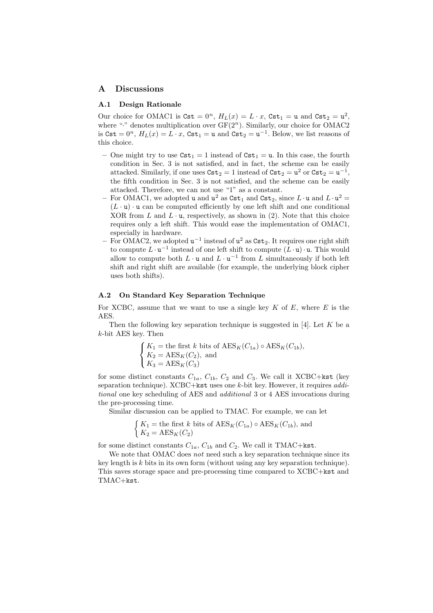### **A Discussions**

#### **A.1 Design Rationale**

Our choice for OMAC1 is  $\text{Cst} = 0^n$ ,  $H_L(x) = L \cdot x$ ,  $\text{Cst}_1 = u$  and  $\text{Cst}_2 = u^2$ , where "<sup>\*</sup>" denotes multiplication over  $GF(2<sup>n</sup>)$ . Similarly, our choice for OMAC2 is  $\texttt{Cst} = 0^n$ ,  $H_L(x) = L \cdot x$ ,  $\texttt{Cst}_1 = u$  and  $\texttt{Cst}_2 = u^{-1}$ . Below, we list reasons of this choice.

- One might try to use  $\texttt{Cst}_1 = 1$  instead of  $\texttt{Cst}_1 = u$ . In this case, the fourth condition in Sec. 3 is not satisfied, and in fact, the scheme can be easily attacked. Similarly, if one uses  $\texttt{Cst}_2 = 1$  instead of  $\texttt{Cst}_2 = u^2$  or  $\texttt{Cst}_2 = u^{-1}$ , the fifth condition in Sec. 3 is not satisfied, and the scheme can be easily attacked. Therefore, we can not use "1" as a constant.
- For OMAC1, we adopted **u** and  $u^2$  as  $\text{Cst}_1$  and  $\text{Cst}_2$ , since  $L \cdot \text{u}$  and  $L \cdot u^2 =$  $(L \cdot \mathbf{u}) \cdot \mathbf{u}$  can be computed efficiently by one left shift and one conditional XOR from L and  $L \cdot u$ , respectively, as shown in (2). Note that this choice requires only a left shift. This would ease the implementation of OMAC1, especially in hardware.
- For OMAC2, we adopted **u**<sup>-1</sup> instead of **u**<sup>2</sup> as Cst<sub>2</sub>. It requires one right shift to compute  $L \cdot u^{-1}$  instead of one left shift to compute  $(L \cdot u) \cdot u$ . This would allow to compute both  $L \cdot u$  and  $L \cdot u^{-1}$  from  $L$  simultaneously if both left shift and right shift are available (for example, the underlying block cipher uses both shifts).

#### **A.2 On Standard Key Separation Technique**

For XCBC, assume that we want to use a single key  $K$  of  $E$ , where  $E$  is the AES.

Then the following key separation technique is suggested in [4]. Let  $K$  be a k-bit AES key. Then

$$
\begin{cases}\nK_1 = \text{the first } k \text{ bits of } \text{AES}_K(C_{1a}) \circ \text{AES}_K(C_{1b}), \\
K_2 = \text{AES}_K(C_2), \text{ and} \\
K_3 = \text{AES}_K(C_3)\n\end{cases}
$$

for some distinct constants  $C_{1a}$ ,  $C_{1b}$ ,  $C_2$  and  $C_3$ . We call it XCBC+kst (key separation technique). XCBC+kst uses one k-bit key. However, it requires *additional* one key scheduling of AES and *additional* 3 or 4 AES invocations during the pre-processing time.

Similar discussion can be applied to TMAC. For example, we can let

$$
\begin{cases} K_1 = \text{the first } k \text{ bits of } \text{AES}_K(C_{1a}) \circ \text{AES}_K(C_{1b}), \text{ and} \\ K_2 = \text{AES}_K(C_2) \end{cases}
$$

for some distinct constants  $C_{1a}$ ,  $C_{1b}$  and  $C_2$ . We call it TMAC+kst.

We note that OMAC does *not* need such a key separation technique since its key length is  $k$  bits in its own form (without using any key separation technique). This saves storage space and pre-processing time compared to XCBC+kst and TMAC+kst.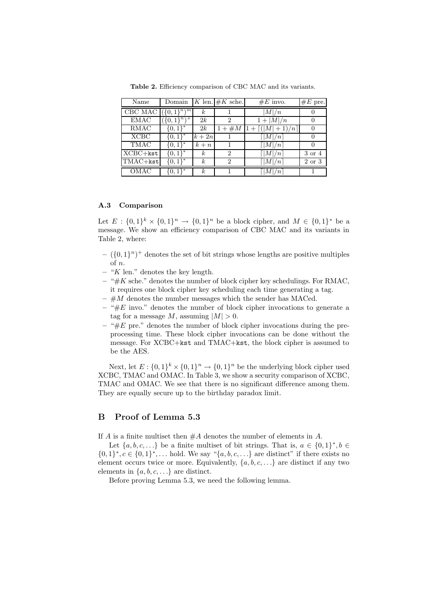| Name                                | Domain                 |                  | K len. $\#K$ sche. | $#E$ invo.                              | $#E$ pre. |
|-------------------------------------|------------------------|------------------|--------------------|-----------------------------------------|-----------|
| CBC MAC $(\lbrace 0,1 \rbrace^n)^m$ |                        | $\boldsymbol{k}$ |                    | M /n                                    |           |
| <b>EMAC</b>                         | $(0,1)^n$ <sup>T</sup> | 2k               | 2                  | $1+ M /n$                               |           |
| <b>RMAC</b>                         | $\{0,1\}^*$            | 2k               | $1 + #M$           | $\overline{1+}\left[ ( M +1)/n \right]$ |           |
| <b>XCBC</b>                         | $\{0,1\}^*$            | $k+2n$           |                    | $\lfloor  M /n \rfloor$                 |           |
| <b>TMAC</b>                         | $\{0,1\}^*$            | $k + n$          |                    | $\lceil  M /n \rceil$                   |           |
| $XCBC+kst$                          | $\{0,1\}^*$            | k <sub>i</sub>   | 2                  | $\lceil  M /n \rceil$                   | 3 or 4    |
| TMAC+kst                            | $\{0,1\}^*$            | $\boldsymbol{k}$ | $\mathcal{D}$      | $\lceil  M /n \rceil$                   | 2 or 3    |
| OMAC                                | $\{0,1\}^*$            | $\boldsymbol{k}$ |                    | $\lceil  M /n \rceil$                   |           |

**Table 2.** Efficiency comparison of CBC MAC and its variants.

### **A.3 Comparison**

Let  $E: \{0,1\}^k \times \{0,1\}^n \to \{0,1\}^n$  be a block cipher, and  $M \in \{0,1\}^*$  be a message. We show an efficiency comparison of CBC MAC and its variants in Table 2, where:

- $({0, 1}<sup>n</sup>)<sup>+</sup>$  denotes the set of bit strings whose lengths are positive multiples of n.
- **–** "K len." denotes the key length.
- **–** "#K sche." denotes the number of block cipher key schedulings. For RMAC, it requires one block cipher key scheduling each time generating a tag.
- $\#M$  denotes the number messages which the sender has MACed.
- **–** "#E invo." denotes the number of block cipher invocations to generate a tag for a message M, assuming  $|M| > 0$ .
- **–** "#E pre." denotes the number of block cipher invocations during the preprocessing time. These block cipher invocations can be done without the message. For XCBC+kst and TMAC+kst, the block cipher is assumed to be the AES.

Next, let  $E: \{0,1\}^k \times \{0,1\}^n \to \{0,1\}^n$  be the underlying block cipher used XCBC, TMAC and OMAC. In Table 3, we show a security comparison of XCBC, TMAC and OMAC. We see that there is no significant difference among them. They are equally secure up to the birthday paradox limit.

## **B Proof of Lemma 5.3**

If A is a finite multiset then  $#A$  denotes the number of elements in A.

Let  $\{a, b, c, \ldots\}$  be a finite multiset of bit strings. That is,  $a \in \{0, 1\}^*, b \in$  $\{0,1\}^*, c \in \{0,1\}^*, \ldots$  hold. We say " $\{a,b,c,\ldots\}$  are distinct" if there exists no element occurs twice or more. Equivalently,  $\{a, b, c, \ldots\}$  are distinct if any two elements in  $\{a, b, c, \ldots\}$  are distinct.

Before proving Lemma 5.3, we need the following lemma.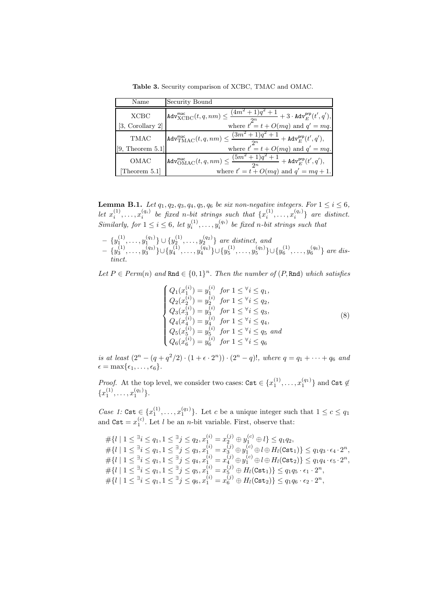**Table 3.** Security comparison of XCBC, TMAC and OMAC.

| Name                | Security Bound                                                                                                                      |
|---------------------|-------------------------------------------------------------------------------------------------------------------------------------|
| <b>XCBC</b>         | $\mathtt{Adv}_{\text{XCBC}}^{\text{mac}}(t,q,nm) \leq \frac{(4m^2+1)q^2+1}{2m}+3\cdot \mathtt{Adv}_{E}^{\text{prp}}(t',q'),$        |
| [3, Corollary 2]    | where $t^{\prime} = t + O(mq)$ and $q' = mq$ .                                                                                      |
| <b>TMAC</b>         | $\left \texttt{Adv}_{\text{TMAC}}^{\text{mac}}(t,q,nm)\leq \frac{(3m^2+1)q^2+1}{2m}+\texttt{Adv}_{E}^{\textsf{prp}}(t',q'),\right.$ |
| [9, Theorem $5.1$ ] | where $t' = t + O(mq)$ and $q' = mq$ .                                                                                              |
| OMAC                | $\left \texttt{Adv}_{\text{OMAC}}^{\text{mac}}(t,q,nm)\leq \frac{(5m^2+1)q^2+1}{2n}+\texttt{Adv}_{E}^{\textsf{prp}}(t',q'),\right.$ |
| Theorem 5.1         | where $t' = t + O(mq)$ and $q' = mq + 1$ .                                                                                          |

**Lemma B.1.** *Let*  $q_1, q_2, q_3, q_4, q_5, q_6$  *be six non-negative integers. For*  $1 \leq i \leq 6$ *,* let  $x_i^{(1)}, \ldots, x_i^{(q_i)}$  be fixed n-bit strings such that  $\{x_i^{(1)}, \ldots, x_i^{(q_i)}\}$  are distinct. *Similarly, for*  $1 \leq i \leq 6$ , let  $y_i^{(1)}, \ldots, y_i^{(q_i)}$  be fixed n-bit strings such that

$$
- \{y_1^{(1)}, \ldots, y_1^{(q_1)}\} \cup \{y_2^{(1)}, \ldots, y_2^{(q_2)}\} \text{ are distinct, and} - \{y_3^{(1)}, \ldots, y_3^{(q_3)}\} \cup \{y_4^{(1)}, \ldots, y_4^{(q_4)}\} \cup \{y_5^{(1)}, \ldots, y_5^{(q_5)}\} \cup \{y_6^{(1)}, \ldots, y_6^{(q_6)}\} \text{ are distinct.}
$$

*Let*  $P \in Perm(n)$  *and*  $\text{Rnd} \in \{0,1\}^n$ . *Then the number of*  $(P, \text{Rnd})$  *which satisfies* 

$$
\begin{cases}\nQ_1(x_1^{(i)}) = y_1^{(i)} \quad \text{for } 1 \leq \forall i \leq q_1, \\
Q_2(x_2^{(i)}) = y_2^{(i)} \quad \text{for } 1 \leq \forall i \leq q_2, \\
Q_3(x_3^{(i)}) = y_3^{(i)} \quad \text{for } 1 \leq \forall i \leq q_3, \\
Q_4(x_4^{(i)}) = y_4^{(i)} \quad \text{for } 1 \leq \forall i \leq q_4, \\
Q_5(x_5^{(i)}) = y_5^{(i)} \quad \text{for } 1 \leq \forall i \leq q_5 \quad \text{and} \\
Q_6(x_6^{(i)}) = y_6^{(i)} \quad \text{for } 1 \leq \forall i \leq q_6\n\end{cases} \tag{8}
$$

*is at least*  $(2^{n} - (q + q^{2}/2) \cdot (1 + \epsilon \cdot 2^{n})) \cdot (2^{n} - q)!$ , where  $q = q_{1} + \cdots + q_{6}$  and  $\epsilon = \max{\epsilon_1,\ldots,\epsilon_6}.$ 

*Proof.* At the top level, we consider two cases:  $\texttt{Cst} \in \{x_1^{(1)}, \ldots, x_1^{(q_1)}\}$  and  $\texttt{Cst} \notin$  ${x_1^{(1)}, \ldots, x_1^{(q_1)}}.$ 

*Case 1:* Cst  $\in \{x_1^{(1)}, \ldots, x_1^{(q_1)}\}$ . Let c be a unique integer such that  $1 \leq c \leq q_1$ and  $\texttt{Cst} = x_1^{(c)}$ . Let *l* be an *n*-bit variable. First, observe that:

$$
\begin{array}{l} \# \{ l \mid 1 \leq \exists i \leq q_1, 1 \leq \exists j \leq q_2, x_1^{(i)} = x_2^{(j)} \oplus y_1^{(c)} \oplus l \} \leq q_1 q_2, \\ \# \{ l \mid 1 \leq \exists i \leq q_1, 1 \leq \exists j \leq q_3, x_1^{(i)} = x_3^{(j)} \oplus y_1^{(c)} \oplus l \oplus H_l(\textsf{Cst}_1) \} \leq q_1 q_3 \cdot \epsilon_4 \cdot 2^n, \\ \# \{ l \mid 1 \leq \exists i \leq q_1, 1 \leq \exists j \leq q_4, x_1^{(i)} = x_4^{(j)} \oplus y_1^{(c)} \oplus l \oplus H_l(\textsf{Cst}_2) \} \leq q_1 q_4 \cdot \epsilon_5 \cdot 2^n, \\ \# \{ l \mid 1 \leq \exists i \leq q_1, 1 \leq \exists j \leq q_5, x_1^{(i)} = x_5^{(j)} \oplus H_l(\textsf{Cst}_1) \} \leq q_1 q_5 \cdot \epsilon_1 \cdot 2^n, \\ \# \{ l \mid 1 \leq \exists i \leq q_1, 1 \leq \exists j \leq q_6, x_1^{(i)} = x_6^{(j)} \oplus H_l(\textsf{Cst}_2) \} \leq q_1 q_6 \cdot \epsilon_2 \cdot 2^n, \end{array}
$$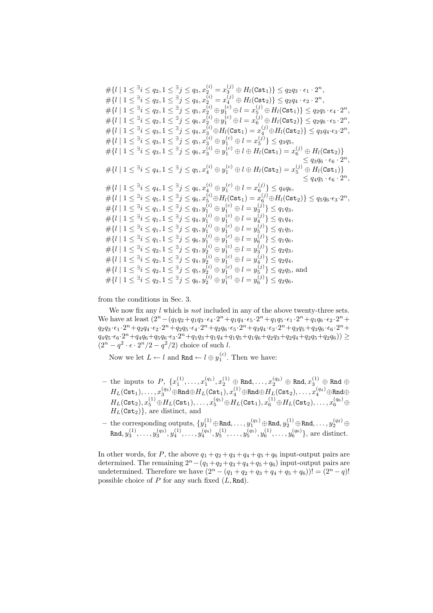$\#\{l \mid 1 \leq {}^\exists i \leq q_2, 1 \leq {}^\exists j \leq q_3, x_2^{(i)} = x_3^{(j)} \oplus H_l(\mathtt{Cst}_1)\} \leq q_2q_3 \cdot \epsilon_1 \cdot 2^n,$  $\# \{ l \mid 1 \leq^{\exists} i \leq q_2, 1 \leq^{\exists} j \leq q_4, x^{(i)}_2 = x^{(j)}_4 \oplus H_l(\mathtt{Cst}_2) \} \leq q_2 q_4 \cdot \epsilon_2 \cdot 2^n,$  $\# \{ l \mid 1 \leq {}^\exists i \leq q_2, 1 \leq {}^\exists j \leq q_5, x_2^{(i)} \oplus y_1^{(c)} \oplus l = x_5^{(j)} \oplus H_l(\mathtt{Cst}_1) \} \leq q_2 q_5 \cdot \epsilon_4 \cdot 2^n,$  $\# \{ l \mid 1 \leq^\exists i \leq q_2, 1 \leq^\exists j \leq q_6, x_2^{(i)} \oplus y_1^{(c)} \oplus l = x_6^{(j)} \oplus H_l(\mathtt{Cst}_2) \} \leq q_2 q_6 \cdot \epsilon_5 \cdot 2^n,$  $\# \{ l \mid 1 \leq {}^\exists i \leq q_3, 1 \leq {}^\exists j \leq q_4, x_3^{(i)} \oplus H_l(\mathtt{Cst}_1) = x_4^{(j)} \oplus H_l(\mathtt{Cst}_2) \} \leq q_3 q_4 \cdot \epsilon_3 \cdot 2^n,$  $\#\{l \mid 1 \leq^\exists i \leq q_3, 1 \leq^\exists j \leq q_5, x_3^{(i)} \oplus y_1^{(c)} \oplus l = x_5^{(j)}\} \leq q_3 q_5,$  $\# \{ l \mid 1 \leq {}^\exists i \leq q_3, 1 \leq {}^\exists j \leq q_6, x_3^{(i)} \oplus y_1^{(c)} \oplus l \oplus H_l(\mathtt{Cst}_1) = x_6^{(j)} \oplus H_l(\mathtt{Cst}_2) \}$  $\leq q_3q_6 \cdot \epsilon_6 \cdot 2^n,$  $\#\{l\;|\;1\leq {}^\exists i\leq q_4, 1\leq {}^\exists j\leq q_5, x^{(i)}_4\oplus y^{(c)}_1\oplus l\oplus H_l(\texttt{Cst}_2)=x^{(j)}_5\oplus H_l(\texttt{Cst}_1)\}$  $\leq q_4q_5 \cdot \epsilon_6 \cdot 2^n,$  $\#\{l \mid 1 \leq \exists i \leq q_4, 1 \leq \exists j \leq q_6, x_4^{(i)} \oplus y_1^{(c)} \oplus l = x_6^{(j)}\} \leq q_4 q_6,$  $\# \{ l \mid 1 \leq {}^\exists i \leq q_5, 1 \leq {}^\exists j \leq q_6, x_5^{(i)} \oplus H_l(\mathtt{Cst}_1) = x_6^{(j)} \oplus H_l(\mathtt{Cst}_2) \} \leq q_5 q_6 \cdot \epsilon_3 \cdot 2^n,$  $\# \{ l \mid 1 \leq^\exists i \leq q_1, 1 \leq^\exists j \leq q_3, y_1^{(i)} \oplus y_1^{(c)} \oplus l = y_3^{(j)} \} \leq q_1 q_3,$  $\#\{l\mid 1\leq^{\exists} i\leq q_1, 1\leq^{\exists} j\leq q_4, y_1^{(i)}\oplus y_1^{(c)}\oplus l=y_4^{(j)}\}\leq q_1q_4,$  $\#\{l \mid 1 \leq^\exists i \leq q_1, 1 \leq^\exists j \leq q_5, y_1^{(i)} \oplus y_1^{(c)} \oplus l = y_5^{(j)} \} \leq q_1 q_5,$  $\# \{ l \mid 1 \leq^\exists i \leq q_1, 1 \leq^\exists j \leq q_6, y_1^{(i)} \oplus y_1^{(c)} \oplus l = y_6^{(j)} \} \leq q_1 q_6,$  $\#\{l \mid 1 \leq {}^\exists i \leq q_2, 1 \leq {}^\exists j \leq q_3, y_2^{(i)} \oplus y_1^{(c)} \oplus l = y_3^{(j)}\} \leq q_2q_3,$  $\# \{ l \mid 1 \leq^\exists i \leq q_2, 1 \leq^\exists j \leq q_4, y_2^{(i)} \oplus y_1^{(c)} \oplus l = y_4^{(j)} \} \leq q_2 q_4,$  $\# \{ l \mid 1 \leq \exists i \leq q_2, 1 \leq \exists j \leq q_5, y_2^{(i)} \oplus y_1^{(c)} \oplus l = y_5^{(j)} \} \leq q_2 q_5$ , and  $\#\{l \mid 1 \leq^\exists i \leq q_2, 1 \leq^\exists j \leq q_6, y_2^{(i)} \oplus y_1^{(c)} \oplus l = y_6^{(j)} \} \leq q_2 q_6,$ 

from the conditions in Sec. 3.

We now fix any *l* which is *not* included in any of the above twenty-three sets. We have at least  $(2^{n} - (q_1q_2+q_1q_3 \cdot \epsilon_4 \cdot 2^{n}+q_1q_4 \cdot \epsilon_5 \cdot 2^{n}+q_1q_5 \cdot \epsilon_1 \cdot 2^{n}+q_1q_6 \cdot \epsilon_2 \cdot 2^{n}+$  $q_2q_3 \cdot \epsilon_1 \cdot 2^n + q_2q_4 \cdot \epsilon_2 \cdot 2^n + q_2q_5 \cdot \epsilon_4 \cdot 2^n + q_2q_6 \cdot \epsilon_5 \cdot 2^n + q_3q_4 \cdot \epsilon_3 \cdot 2^n + q_3q_5 + q_3q_6 \cdot \epsilon_6 \cdot 2^n +$  $q_4q_5 \cdot \epsilon_6 \cdot 2^n + q_4q_6 + q_5q_6 \cdot \epsilon_3 \cdot 2^n + q_1q_3 + q_1q_4 + q_1q_5 + q_1q_6 + q_2q_3 + q_2q_4 + q_2q_5 + q_2q_6)) \geq$  $(2^{n} - q^{2} \cdot \epsilon \cdot 2^{n}/2 - q^{2}/2)$  choice of such l.

Now we let  $L \leftarrow l$  and Rnd  $\leftarrow l \oplus y_1^{(c)}$ . Then we have:

- **−** the inputs to  $P$ ,  $\{x_1^{(1)}, \ldots, x_1^{(q_1)}, x_2^{(1)} \oplus \text{Rnd}, \ldots, x_2^{(q_2)} \oplus \text{Rnd}, x_3^{(1)} \oplus \text{Rnd} \oplus$  $H_L(\mathtt{Cst}_1),\ldots,x^{(q_3)}_3 \oplus \mathtt{Rnd} \oplus H_L(\mathtt{Cst}_1),x^{(1)}_4 \oplus \mathtt{Rnd} \oplus H_L(\mathtt{Cst}_2),\ldots,x^{(q_4)}_4 \oplus \mathtt{Rnd} \oplus$  $H_L({\tt Cst}_2), x_5^{(1)} \oplus H_L({\tt Cst}_1), \ldots, x_5^{(q_5)} \oplus H_L({\tt Cst}_1), x_6^{(1)} \oplus H_L({\tt Cst}_2), \ldots, x_6^{(q_6)} \oplus$  $H_L(\texttt{Cst}_2)$ , are distinct, and
- $-$  the corresponding outputs,  $\{y_1^{(1)}\oplus \mathtt{Rnd},\ldots,y_1^{(q_1)}\oplus \mathtt{Rnd},y_2^{(1)}\oplus \mathtt{Rnd},\ldots,y_2^{(q_2)}\oplus$  $\text{Rnd}, y_3^{(1)}, \ldots, y_3^{(q_3)}, y_4^{(1)}, \ldots, y_4^{(q_4)}, y_5^{(1)}, \ldots, y_5^{(q_5)}, y_6^{(1)}, \ldots, y_6^{(q_6)}\},$  are distinct.

In other words, for P, the above  $q_1 + q_2 + q_3 + q_4 + q_5 + q_6$  input-output pairs are determined. The remaining  $2^{n}-(q_1+q_2+q_3+q_4+q_5+q_6)$  input-output pairs are undetermined. Therefore we have  $(2^{n} - (q_1 + q_2 + q_3 + q_4 + q_5 + q_6))! = (2^{n} - q)!$ possible choice of  $P$  for any such fixed  $(L, \text{Rnd})$ .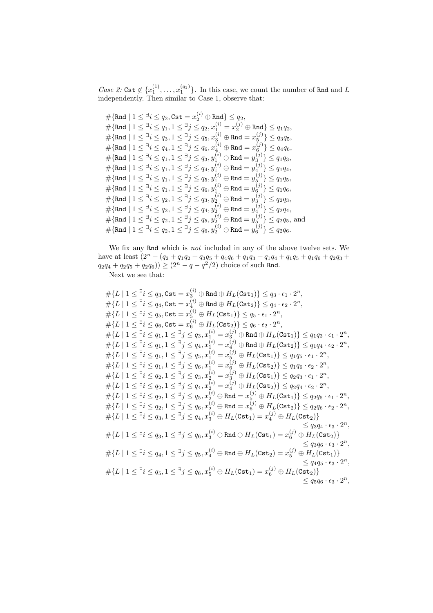*Case 2:* Cst  $\notin \{x_1^{(1)}, \ldots, x_1^{(q_1)}\}$ . In this case, we count the number of Rnd and L independently. Then similar to Case 1, observe that:

 $\#\{\texttt{Rnd} \mid 1 \leq^\exists i \leq q_2, \texttt{Cst} = x_2^{(i)} \oplus \texttt{Rnd}\} \leq q_2,$  $\# \{\mathtt{Rnd} \mid 1 \leq^\exists i \leq q_1, 1 \leq^\exists j \leq q_2, x^{(i)}_1 = x^{(j)}_2 \oplus \mathtt{Rnd} \} \leq q_1 q_2,$  $\#\{\texttt{Rnd} \mid 1 \leq {}^\exists i \leq q_3, 1 \leq {}^\exists j \leq q_5, x_3^{(i)} \oplus \texttt{Rnd} = x_5^{(j)} \} \leq q_3 q_5,$  $\#\{\texttt{Rnd} \mid 1 \leq \exists i \leq q_4, 1 \leq \exists j \leq q_6, x_4^{(i)} \oplus \texttt{Rnd} = x_6^{(j)} \} \leq q_4 q_6,$  $\#\{\texttt{Rnd} \mid 1 \leq^\exists i \leq q_1, 1 \leq^\exists j \leq q_3, y_1^{(i)} \oplus \texttt{Rnd} = y_3^{(j)} \} \leq q_1 q_3,$  $\#\{\texttt{Rnd} \mid 1 \leq^\exists i \leq q_1, 1 \leq^\exists j \leq q_4, y_1^{(i)} \oplus \texttt{Rnd} = y_4^{(j)}\} \leq q_1 q_4,$  $\#\{\texttt{Rnd} \mid 1 \leq^\exists i \leq q_1, 1 \leq^\exists j \leq q_5, y_1^{(i)} \oplus \texttt{Rnd} = y_5^{(j)} \} \leq q_1 q_5,$  $\#\{\texttt{Rnd} \mid 1 \leq^\exists i \leq q_1, 1 \leq^\exists j \leq q_6, y_1^{(i)} \oplus \texttt{Rnd} = y_6^{(j)} \} \leq q_1 q_6,$  $\#\{\texttt{Rnd} \mid 1 \leq^\exists i \leq q_2, 1 \leq^\exists j \leq q_3, y_2^{(i)} \oplus \texttt{Rnd} = y_3^{(j)} \} \leq q_2 q_3,$  $\#\{\texttt{Rnd} \mid 1 \leq \exists i \leq q_2, 1 \leq \exists j \leq q_4, y_2^{(i)} \oplus \texttt{Rnd} = y_4^{(j)} \} \leq q_2 q_4,$  $\#\{\texttt{Rnd} \mid 1 \leq \exists i \leq q_2, 1 \leq \exists j \leq q_5, y_2^{(i)} \oplus \texttt{Rnd} = y_5^{(j)} \} \leq q_2q_5, \text{ and}$  $\#\{\texttt{Rnd} \mid 1 \leq \exists i \leq q_2, 1 \leq \exists j \leq q_6, y_2^{(i)} \oplus \texttt{Rnd} = y_6^{(j)} \} \leq q_2 q_6.$ 

We fix any Rnd which is *not* included in any of the above twelve sets. We have at least  $(2^{n} - (q_2 + q_1q_2 + q_3q_5 + q_4q_6 + q_1q_3 + q_1q_4 + q_1q_5 + q_1q_6 + q_2q_3 +$  $q_2q_4 + q_2q_5 + q_2q_6$ ))  $\geq (2^n - q - q^2/2)$  choice of such Rnd.

Next we see that:

$$
\# \{L \mid 1 \leq \exists i \leq q_3, \text{Cst} = x_3^{(i)} \oplus \text{Rnd} \oplus H_L(\text{Cst}_1) \} \leq q_3 \cdot \epsilon_1 \cdot 2^n,
$$
\n
$$
\# \{L \mid 1 \leq \exists i \leq q_4, \text{Cst} = x_4^{(i)} \oplus \text{Rnd} \oplus H_L(\text{Cst}_2) \} \leq q_4 \cdot \epsilon_2 \cdot 2^n,
$$
\n
$$
\# \{L \mid 1 \leq \exists i \leq q_5, \text{Cst} = x_6^{(i)} \oplus H_L(\text{Cst}_2) \} \leq q_6 \cdot \epsilon_2 \cdot 2^n,
$$
\n
$$
\# \{L \mid 1 \leq \exists i \leq q_6, \text{Cst} = x_6^{(i)} \oplus H_L(\text{Cst}_2) \} \leq q_6 \cdot \epsilon_2 \cdot 2^n,
$$
\n
$$
\# \{L \mid 1 \leq \exists i \leq q_1, 1 \leq \exists j \leq q_3, x_1^{(i)} = x_3^{(j)} \oplus \text{Rnd} \oplus H_L(\text{Cst}_1) \} \leq q_1 q_3 \cdot \epsilon_1 \cdot 2^n,
$$
\n
$$
\# \{L \mid 1 \leq \exists i \leq q_1, 1 \leq \exists j \leq q_3, x_1^{(i)} = x_4^{(j)} \oplus \text{Rnd} \oplus H_L(\text{Cst}_2) \} \leq q_1 q_4 \cdot \epsilon_2 \cdot 2^n,
$$
\n
$$
\# \{L \mid 1 \leq \exists i \leq q_1, 1 \leq \exists j \leq q_5, x_1^{(i)} = x_5^{(j)} \oplus H_L(\text{Cst}_1) \} \leq q_1 q_5 \cdot \epsilon_1 \cdot 2^n,
$$
\n
$$
\# \{L \mid 1 \leq \exists i \leq q_1, 1 \leq \exists j \leq q_6, x_1^{(i)} = x_6^{(j)} \oplus H_L(\text{Cst}_1) \} \leq q_2 q_3 \cdot \epsilon_1 \cdot 2^n,
$$
\n
$$
\# \{L \mid 1 \leq \exists i \leq q_2, 1 \leq \exists j \le
$$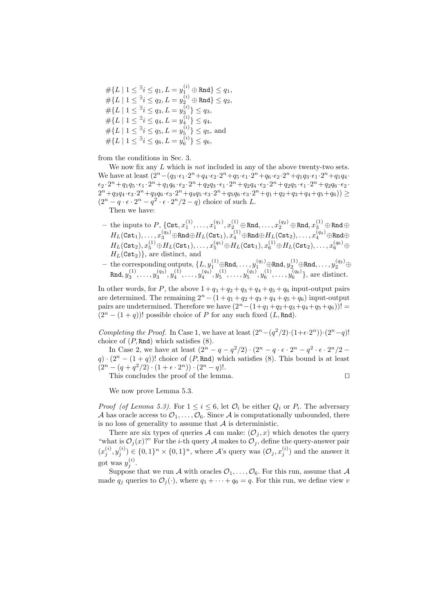$\#\{L \mid 1 \leq^\exists i \leq q_1, L= y_1^{(i)} \oplus \mathtt{Rnd}\} \leq q_1,$  $\#\{L \mid 1 \leq^\exists i \leq q_2, L= y^{(i)}_2 \oplus \mathtt{Rnd}\} \leq q_2,$  $\#\{L \mid 1 \leq \exists i \leq q_3, L = y_3^{(i)}\} \leq q_3,$  $\#\{L \mid 1 \leq \exists i \leq q_4, L = y_4^{(i)}\} \leq q_4,$  $\#\{L \mid 1 \leq \frac{\exists i \leq q_5, L = y_5^{(i)}\} \leq q_5$ , and  $\#\{L \mid 1 \leq \exists i \leq q_6, L = y_6^{(i)}\} \leq q_6,$ 

from the conditions in Sec. 3.

We now fix any L which is *not* included in any of the above twenty-two sets. We have at least  $(2^{n}-(q_3\cdot\epsilon_1\cdot 2^{n}+q_4\cdot\epsilon_2\cdot 2^{n}+q_5\cdot\epsilon_1\cdot 2^{n}+q_6\cdot\epsilon_2\cdot 2^{n}+q_1q_3\cdot\epsilon_1\cdot 2^{n}+q_1q_4\cdot\epsilon_2\cdot 2^{n}+q_2q_5\cdot\epsilon_1\cdot 2^{n}+q_3q_6\cdot\epsilon_2\cdot 2^{n}+q_4q_7\cdot\epsilon_2\cdot 2^{n}+q_5q_7\cdot\epsilon_2\cdot 2^{n}+q_6q_8\cdot\$  $\epsilon_2 \cdot 2^n + q_1q_5 \cdot \epsilon_1 \cdot 2^n + q_1q_6 \cdot \epsilon_2 \cdot 2^n + q_2q_3 \cdot \epsilon_1 \cdot 2^n + q_2q_4 \cdot \epsilon_2 \cdot 2^n + q_2q_5 \cdot \epsilon_1 \cdot 2^n + q_2q_6 \cdot \epsilon_2$  $2^{n}+q_{3}q_{4}\cdot\epsilon_{3}\cdot2^{n}+q_{3}q_{6}\cdot\epsilon_{3}\cdot2^{n}+q_{4}q_{5}\cdot\epsilon_{3}\cdot2^{n}+q_{5}q_{6}\cdot\epsilon_{3}\cdot2^{n}+q_{1}+q_{2}+q_{3}+q_{4}+q_{5}+q_{6})\right)\geq$  $(2^n - q \cdot \epsilon \cdot 2^n - q^2 \cdot \epsilon \cdot 2^n/2 - q)$  choice of such L.

Then we have:

- $-$  the inputs to  $P$ ,  $\{{\tt Cst}, x_1^{(1)},\ldots,x_1^{(q_1)},x_2^{(1)}\oplus {\tt Rnd},\ldots,x_2^{(q_2)}\oplus {\tt Rnd},x_3^{(1)}\oplus {\tt Rnd}\oplus \ldots$  $H_L(\mathtt{Cst}_1),\ldots,x^{(q_3)}_3 \oplus \mathtt{Rnd} \oplus H_L(\mathtt{Cst}_1),x^{(1)}_4 \oplus \mathtt{Rnd} \oplus H_L(\mathtt{Cst}_2),\ldots,x^{(q_4)}_4 \oplus \mathtt{Rnd} \oplus$  $H_L({\tt Cst}_2), x_5^{(1)} \oplus H_L({\tt Cst}_1), \ldots, x_5^{(q_5)} \oplus H_L({\tt Cst}_1), x_6^{(1)} \oplus H_L({\tt Cst}_2), \ldots, x_6^{(q_6)} \oplus$  $H_L(\texttt{Cst}_2)$ , are distinct, and
- $-$  the corresponding outputs,  $\{L, y_1^{(1)} \oplus \text{Rnd}, \ldots, y_1^{(q_1)} \oplus \text{Rnd}, y_2^{(1)} \oplus \text{Rnd}, \ldots, y_2^{(q_2)} \oplus$  $\texttt{Rnd}, y_3^{(1)}, \ldots, y_3^{(q_3)}, y_4^{(1)}, \ldots, y_4^{(q_4)}, y_5^{(1)}, \ldots, y_5^{(q_5)}, y_6^{(1)}, \ldots, y_6^{(q_6)}\},$  are distinct.

In other words, for P, the above  $1+q_1+q_2+q_3+q_4+q_5+q_6$  input-output pairs are determined. The remaining  $2^n - (1 + q_1 + q_2 + q_3 + q_4 + q_5 + q_6)$  input-output pairs are undetermined. Therefore we have  $(2^{n}-(1+q_1+q_2+q_3+q_4+q_5+q_6))!$  $(2<sup>n</sup> - (1 + q))!$  possible choice of P for any such fixed  $(L, Rnd)$ .

*Completing the Proof.* In Case 1, we have at least  $(2^{n}-(q^{2}/2)\cdot(1+\epsilon\cdot 2^{n}))\cdot(2^{n}-q)!$ choice of  $(P, \text{Rnd})$  which satisfies  $(8)$ .

In Case 2, we have at least  $(2^{n} - q - q^2/2) \cdot (2^{n} - q \cdot \epsilon \cdot 2^{n} - q^2 \cdot \epsilon \cdot 2^{n}/2 - \epsilon \cdot \epsilon \cdot 2^{n} - \epsilon \cdot 2^{n}/2)$  $q$ ) ·  $(2^n - (1 + q))!$  choice of  $(P, Rnd)$  which satisfies (8). This bound is at least  $(2^{n} - (q + q^{2}/2) \cdot (1 + \epsilon \cdot 2^{n})) \cdot (2^{n} - q)!$ .

This concludes the proof of the lemma. 

$$
\Box
$$

We now prove Lemma 5.3.

*Proof (of Lemma 5.3).* For  $1 \leq i \leq 6$ , let  $\mathcal{O}_i$  be either  $Q_i$  or  $P_i$ . The adversary A has oracle access to  $\mathcal{O}_1,\ldots,\mathcal{O}_6$ . Since A is computationally unbounded, there is no loss of generality to assume that  $A$  is deterministic.

There are six types of queries A can make:  $(\mathcal{O}_j, x)$  which denotes the query "what is  $\mathcal{O}_j(x)$ ?" For the *i*-th query A makes to  $\mathcal{O}_j$ , define the query-answer pair  $(x_j^{(i)}, y_j^{(i)}) \in \{0,1\}^n \times \{0,1\}^n$ , where A's query was  $(\mathcal{O}_j, x_j^{(i)})$  and the answer it got was  $y_j^{(i)}$ .

Suppose that we run A with oracles  $\mathcal{O}_1,\ldots,\mathcal{O}_6$ . For this run, assume that A made  $q_j$  queries to  $\mathcal{O}_j(\cdot)$ , where  $q_1 + \cdots + q_6 = q$ . For this run, we define view v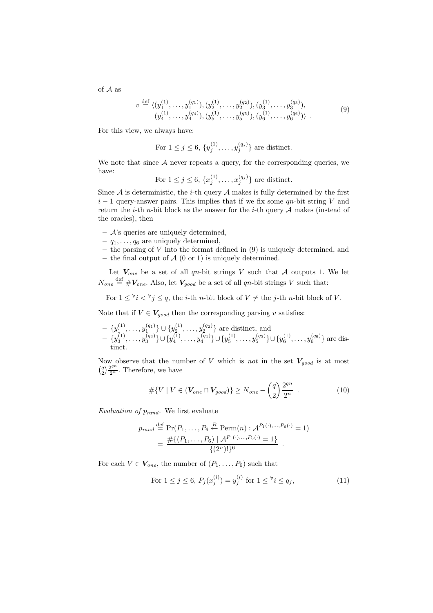of A as

$$
v \stackrel{\text{def}}{=} \langle (y_1^{(1)}, \dots, y_1^{(q_1)}), (y_2^{(1)}, \dots, y_2^{(q_2)}), (y_3^{(1)}, \dots, y_3^{(q_3)}), (y_4^{(1)}, \dots, y_4^{(q_4)}), (y_5^{(1)}, \dots, y_5^{(q_5)}), (y_6^{(1)}, \dots, y_6^{(q_6)}),
$$
(9)

For this view, we always have:

For 
$$
1 \leq j \leq 6
$$
,  $\{y_j^{(1)}, \ldots, y_j^{(q_j)}\}$  are distinct.

We note that since  $A$  never repeats a query, for the corresponding queries, we have:

For  $1 \leq j \leq 6$ ,  $\{x_j^{(1)}, \ldots, x_j^{(q_j)}\}$  are distinct.

Since  $A$  is deterministic, the *i*-th query  $A$  makes is fully determined by the first  $i-1$  query-answer pairs. This implies that if we fix some  $qn$ -bit string V and return the *i*-th *n*-bit block as the answer for the *i*-th query  $A$  makes (instead of the oracles), then

- **–** A's queries are uniquely determined,
- $q_1, \ldots, q_6$  are uniquely determined,
- **–** the parsing of V into the format defined in (9) is uniquely determined, and **–** the final output of A (0 or 1) is uniquely determined.
- Let  $V_{one}$  be a set of all qn-bit strings V such that A outputs 1. We let  $N_{one} \stackrel{\text{def}}{=} \#V_{one}$ . Also, let  $V_{good}$  be a set of all qn-bit strings V such that:

For  $1 \leq \forall i \leq \forall j \leq q$ , the *i*-th *n*-bit block of  $V \neq$  the *j*-th *n*-bit block of V.

Note that if  $V \in V_{good}$  then the corresponding parsing v satisfies:

$$
- \{y_1^{(1)}, \ldots, y_1^{(q_1)}\} \cup \{y_2^{(1)}, \ldots, y_2^{(q_2)}\} \text{ are distinct, and} \\ - \{y_3^{(1)}, \ldots, y_3^{(q_3)}\} \cup \{y_4^{(1)}, \ldots, y_4^{(q_4)}\} \cup \{y_5^{(1)}, \ldots, y_5^{(q_5)}\} \cup \{y_6^{(1)}, \ldots, y_6^{(q_6)}\} \text{ are distinct.}
$$

Now observe that the number of V which is *not* in the set  $V_{qood}$  is at most  $\binom{q}{2} \frac{2^{qn}}{2^n}$ . Therefore, we have

$$
#\{V \mid V \in (\mathbf{V}_{one} \cap \mathbf{V}_{good})\} \ge N_{one} - \binom{q}{2} \frac{2^{qn}}{2^n} . \tag{10}
$$

*Evaluation of* p*rand.* We first evaluate

$$
p_{rand} \stackrel{\text{def}}{=} \Pr(P_1, \dots, P_6 \stackrel{R}{\leftarrow} \text{Perm}(n) : \mathcal{A}^{P_1(\cdot), \dots, P_6(\cdot)} = 1)
$$
  
= 
$$
\frac{\# \{(P_1, \dots, P_6) \mid \mathcal{A}^{P_1(\cdot), \dots, P_6(\cdot)} = 1\}}{\{(2^n)!\}^6}.
$$

For each  $V \in V_{one}$ , the number of  $(P_1, \ldots, P_6)$  such that

For 
$$
1 \le j \le 6
$$
,  $P_j(x_j^{(i)}) = y_j^{(i)}$  for  $1 \le \forall i \le q_j$ ,  $(11)$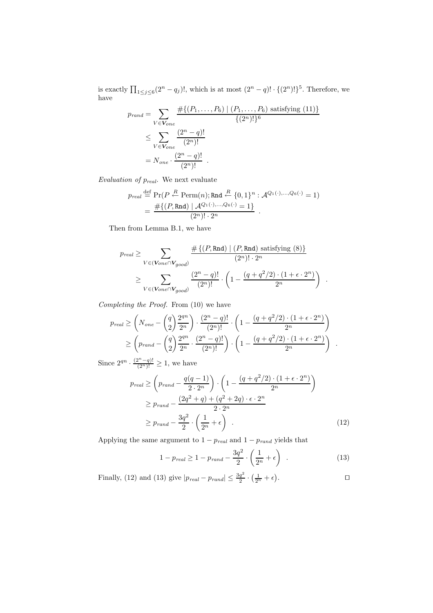is exactly  $\prod_{1 \leq j \leq 6} (2^n - q_j)!$ , which is at most  $(2^n - q)! \cdot \{(2^n)!\}^5$ . Therefore, we have

$$
p_{rand} = \sum_{V \in \mathbf{V}_{one}} \frac{\# \{ (P_1, \ldots, P_6) \mid (P_1, \ldots, P_6) \text{ satisfying (11)} \}}{\{(2^n)!\}^6}
$$
  

$$
\leq \sum_{V \in \mathbf{V}_{one}} \frac{(2^n - q)!}{(2^n)!}
$$
  

$$
= N_{one} \cdot \frac{(2^n - q)!}{(2^n)!}.
$$

*Evaluation of* p*real.* We next evaluate

$$
\begin{aligned} p_{real} &\stackrel{\text{def}}{=} \Pr(P \stackrel{R}{\leftarrow} \text{Perm}(n); \text{Rnd} \stackrel{R}{\leftarrow} \{0,1\}^n: \mathcal{A}^{Q_1(\cdot),\dots,Q_6(\cdot)}=1) \\ &=\frac{\#\{(P,\text{Rnd}) \mid \mathcal{A}^{Q_1(\cdot),\dots,Q_6(\cdot)}=1\}}{(2^n)! \cdot 2^n} \end{aligned}.
$$

Then from Lemma B.1, we have

$$
p_{real} \ge \sum_{V \in (\mathbf{V}_{one} \cap \mathbf{V}_{good})} \frac{\#\{(P, \text{Rnd}) \mid (P, \text{Rnd}) \text{ satisfying (8)}\}}{(2^n)! \cdot 2^n}
$$

$$
\ge \sum_{V \in (\mathbf{V}_{one} \cap \mathbf{V}_{good})} \frac{(2^n - q)!}{(2^n)!} \cdot \left(1 - \frac{(q + q^2/2) \cdot (1 + \epsilon \cdot 2^n)}{2^n}\right)
$$

.

*Completing the Proof.* From (10) we have

$$
p_{real} \ge \left(N_{one} - \binom{q}{2} \frac{2^{qn}}{2^n} \right) \cdot \frac{(2^n - q)!}{(2^n)!} \cdot \left(1 - \frac{(q + q^2/2) \cdot (1 + \epsilon \cdot 2^n)}{2^n} \right)
$$
  
 
$$
\ge \left(p_{rand} - \binom{q}{2} \frac{2^{qn}}{2^n} \cdot \frac{(2^n - q)!}{(2^n)!} \right) \cdot \left(1 - \frac{(q + q^2/2) \cdot (1 + \epsilon \cdot 2^n)}{2^n} \right) .
$$

Since  $2^{qn} \cdot \frac{(2^n-q)!}{(2^n)!} \geq 1$ , we have

$$
p_{real} \geq \left(p_{rand} - \frac{q(q-1)}{2 \cdot 2^n}\right) \cdot \left(1 - \frac{(q+q^2/2) \cdot (1+\epsilon \cdot 2^n)}{2^n}\right)
$$
  
\n
$$
\geq p_{rand} - \frac{(2q^2+q) + (q^2+2q) \cdot \epsilon \cdot 2^n}{2 \cdot 2^n}
$$
  
\n
$$
\geq p_{rand} - \frac{3q^2}{2} \cdot \left(\frac{1}{2^n} + \epsilon\right) . \tag{12}
$$

Applying the same argument to  $1 - p_{\text{real}}$  and  $1 - p_{\text{rand}}$  yields that

$$
1 - p_{real} \ge 1 - p_{rand} - \frac{3q^2}{2} \cdot \left(\frac{1}{2^n} + \epsilon\right) \tag{13}
$$

Finally, (12) and (13) give 
$$
|p_{real} - p_{rand}| \leq \frac{3q^2}{2} \cdot (\frac{1}{2^n} + \epsilon)
$$
.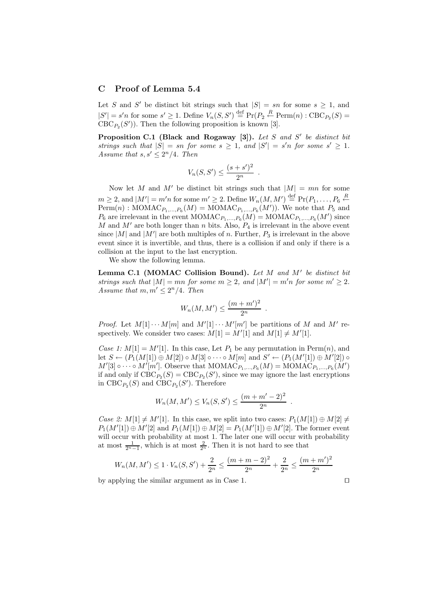# **C Proof of Lemma 5.4**

Let S and S' be distinct bit strings such that  $|S| = sn$  for some  $s \geq 1$ , and  $|S'| = s'n$  for some  $s' \geq 1$ . Define  $V_n(S, S') \stackrel{\text{def}}{=} \Pr(P_2 \stackrel{R}{\leftarrow} \text{Perm}(n) : \text{CBC}_{P_2}(S) =$  $CBC_{P_2}(S')$ ). Then the following proposition is known [3].

**Proposition C.1** (Black and Rogaway [3]). Let S and S' be distinct bit strings such that  $|S| = sn$  *for some*  $s \geq 1$ *, and*  $|S'| = s'n$  *for some*  $s' \geq 1$ *. Assume that*  $s, s' \leq 2^n/4$ *. Then* 

$$
V_n(S, S') \le \frac{(s+s')^2}{2^n} .
$$

Now let M and M' be distinct bit strings such that  $|M| = mn$  for some  $m \geq 2$ , and  $|M'| = m'n$  for some  $m' \geq 2$ . Define  $W_n(M, M') \stackrel{\text{def}}{=} Pr(P_1, \ldots, P_6 \stackrel{R}{\leftarrow} )$  $\text{Perm}(n)$ : MOMAC<sub>*P*1</sub>,...,*P*<sub>6</sub>(*M*) = MOMAC<sub>*P*1</sub>,...,*P*<sub>6</sub>(*M*')). We note that *P*<sub>5</sub> and  $P_6$  are irrelevant in the event  $MOMAC_{P_1,\ldots,P_6}(M) = MOMAC_{P_1,\ldots,P_6}(M')$  since M and  $M'$  are both longer than n bits. Also,  $P_4$  is irrelevant in the above event since  $|M|$  and  $|M'|$  are both multiples of n. Further,  $P_3$  is irrelevant in the above event since it is invertible, and thus, there is a collision if and only if there is a collision at the input to the last encryption.

We show the following lemma.

**Lemma C.1 (MOMAC Collision Bound).** *Let* M *and* M *be distinct bit strings such that*  $|M| = mn$  *for some*  $m \geq 2$ *, and*  $|M'| = m'n$  *for some*  $m' \geq 2$ *. Assume that*  $m, m' \leq 2^n/4$ *. Then* 

$$
W_n(M, M') \le \frac{(m+m')^2}{2^n} .
$$

*Proof.* Let  $M[1] \cdots M[m]$  and  $M'[1] \cdots M'[m']$  be partitions of M and M' respectively. We consider two cases:  $M[1] = M'[1]$  and  $M[1] \neq M'[1]$ .

*Case 1:*  $M[1] = M'[1]$ . In this case, Let  $P_1$  be any permutation in  $\text{Perm}(n)$ , and let  $S \leftarrow (P_1(M[1]) \oplus M[2]) \circ M[3] \circ \cdots \circ M[m] \text{ and } S' \leftarrow (P_1(M'[1]) \oplus M'[2]) \circ$  $M'[3] \circ \cdots \circ M'[m']$ . Observe that  $MOMAC_{P_1,...,P_6}(M) = MOMAC_{P_1,...,P_6}(M')$ if and only if  $\text{CBC}_{P_2}(S) = \text{CBC}_{P_2}(S')$ , since we may ignore the last encryptions in  $\text{CBC}_{P_2}(S)$  and  $\text{CBC}_{P_2}(S')$ . Therefore

$$
W_n(M, M') \le V_n(S, S') \le \frac{(m+m'-2)^2}{2^n} .
$$

*Case 2:*  $M[1] \neq M'[1]$ . In this case, we split into two cases:  $P_1(M[1]) \oplus M[2] \neq$  $P_1(M'[1]) \oplus M'[2]$  and  $P_1(M[1]) \oplus M[2] = P_1(M'[1]) \oplus M'[2]$ . The former event will occur with probability at most 1. The later one will occur with probability at most  $\frac{1}{2^n-1}$ , which is at most  $\frac{2}{2^n}$ . Then it is not hard to see that

$$
W_n(M, M') \le 1 \cdot V_n(S, S') + \frac{2}{2^n} \le \frac{(m+m-2)^2}{2^n} + \frac{2}{2^n} \le \frac{(m+m')^2}{2^n}
$$

by applying the similar argument as in Case 1.  $\Box$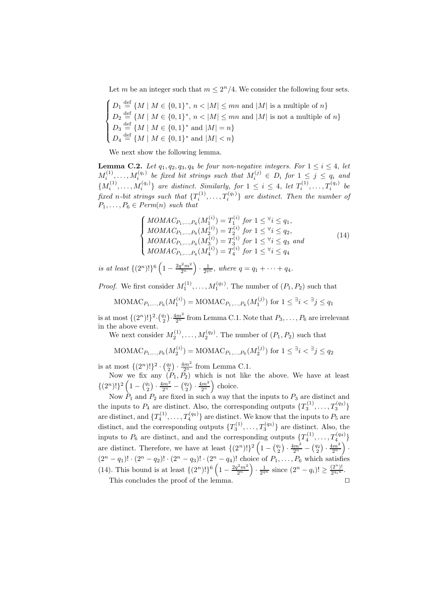Let m be an integer such that  $m \leq 2^n/4$ . We consider the following four sets.

 $\sqrt{ }$  $\int$  $\overline{\mathcal{L}}$  $D_1 \stackrel{\text{def}}{=} \{M \mid M \in \{0,1\}^*, n < |M| \leq mn \text{ and } |M| \text{ is a multiple of } n\}$  $D_2 \stackrel{\text{def}}{=} \{M \mid M \in \{0,1\}^*, n < |M| \leq mn \text{ and } |M| \text{ is not a multiple of } n\}$  $D_3 \stackrel{\text{def}}{=} \{M \mid M \in \{0,1\}^* \text{ and } |M| = n\}$  $D_4 \stackrel{\text{def}}{=} \{M \mid M \in \{0,1\}^* \text{ and } |M| < n\}$ 

We next show the following lemma.

**Lemma C.2.** *Let*  $q_1, q_2, q_3, q_4$  *be four non-negative integers. For*  $1 \leq i \leq 4$ *, let*  $M_i^{(1)}, \ldots, M_i^{(q_i)}$  be fixed bit strings such that  $M_i^{(j)} \in D_i$  for  $1 \leq j \leq q_i$  and  ${M_i^{(1)}, \ldots, M_i^{(q_i)}}$  are distinct. Similarly, for  $1 \leq i \leq 4$ , let  $T_i^{(1)}, \ldots, T_i^{(q_i)}$  be *fixed n*-bit strings such that  $\{T_i^{(1)}, \ldots, T_i^{(q_i)}\}$  are distinct. Then the number of  $P_1, \ldots, P_6 \in Perm(n)$  *such that* 

$$
\begin{cases}\nMOMAC_{P_1,\ldots,P_6}(M_1^{(i)}) = T_1^{(i)} \text{ for } 1 \leq \forall i \leq q_1, \\
MOMAC_{P_1,\ldots,P_6}(M_2^{(i)}) = T_2^{(i)} \text{ for } 1 \leq \forall i \leq q_2, \\
MOMAC_{P_1,\ldots,P_6}(M_3^{(i)}) = T_3^{(i)} \text{ for } 1 \leq \forall i \leq q_3 \text{ and} \\
MOMAC_{P_1,\ldots,P_6}(M_4^{(i)}) = T_4^{(i)} \text{ for } 1 \leq \forall i \leq q_4\n\end{cases} (14)
$$

*is at least*  $\{(2^n)!\}^6 \left(1 - \frac{2q^2m^2}{2^n}\right) \cdot \frac{1}{2^{qn}}, \text{ where } q = q_1 + \cdots + q_4.$ 

*Proof.* We first consider  $M_1^{(1)}, \ldots, M_1^{(q_1)}$ . The number of  $(P_1, P_2)$  such that

$$
\text{MOMAC}_{P_1,\ldots,P_6}(M_1^{(i)}) = \text{MOMAC}_{P_1,\ldots,P_6}(M_1^{(j)})
$$
 for  $1 \leq \exists i < \exists j \leq q_1$ 

is at most  $\{(2^n)!\}^2 \cdot {\frac{q_1}{2^n}}$  from Lemma C.1. Note that  $P_3, \ldots, P_6$  are irrelevant in the above event.

We next consider  $M_2^{(1)}, \ldots, M_2^{(q_2)}$ . The number of  $(P_1, P_2)$  such that

$$
\text{MOMAC}_{P_1,\ldots,P_6}(M_2^{(i)}) = \text{MOMAC}_{P_1,\ldots,P_6}(M_2^{(j)})
$$
 for  $1 \leq \exists i < \exists j \leq q_2$ 

is at most  $\{(2^n)! \}^2 \cdot {q_2 \choose 2} \cdot \frac{4m^2}{2^n}$  from Lemma C.1.

Now we fix any  $(P_1, P_2)$  which is not like the above. We have at least  $\{(2^n)!\}^2\left(1-\binom{q_1}{2}\cdot\frac{4m^2}{2^n}-\binom{q_2}{2}\cdot\frac{4m^2}{2^n}\right)$  choice.

Now  $P_1$  and  $P_2$  are fixed in such a way that the inputs to  $P_3$  are distinct and the inputs to  $P_4$  are distinct. Also, the corresponding outputs  $\{T_3^{(1)}, \ldots, T_3^{(q_3)}\}$ are distinct, and  $\{T_4^{(1)}, \ldots, T_4^{(q_4)}\}$  are distinct. We know that the inputs to  $P_5$  are distinct, and the corresponding outputs  $\{T_3^{(1)}, \ldots, T_3^{(q_3)}\}$  are distinct. Also, the inputs to  $P_6$  are distinct, and and the corresponding outputs  $\{T_4^{(1)}, \ldots, T_4^{(q_4)}\}$ are distinct. Therefore, we have at least  $\{(2^n)! \}^2 \left(1 - \binom{q_1}{2} \cdot \frac{4m^2}{2^n} - \binom{q_2}{2} \cdot \frac{4m^2}{2^n}\right)$ .  $(2^{n} - q_{1})! \cdot (2^{n} - q_{2})! \cdot (2^{n} - q_{3})! \cdot (2^{n} - q_{4})!$  choice of  $P_{1}, \ldots, P_{6}$  which satisfies (14). This bound is at least  $\{(2^n)!\}\binom{6}{1-\frac{2q^2m^2}{2^n}} \cdot \frac{1}{2^{qn}}$  since  $(2^n-q_i)!\geq \frac{(2^n)!}{2^{q_i n}}$ . This concludes the proof of the lemma.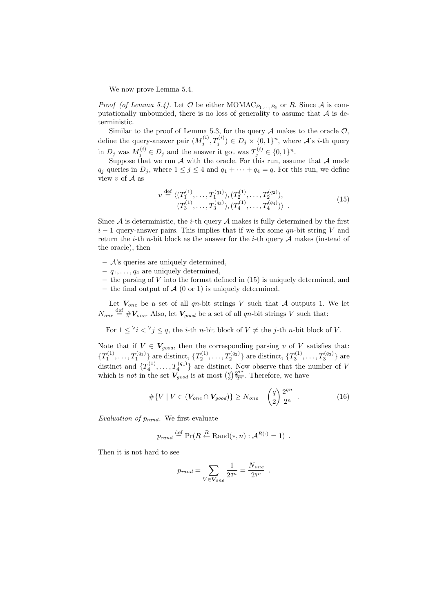We now prove Lemma 5.4.

*Proof (of Lemma 5.4).* Let  $\mathcal O$  be either MOMAC<sub>*P*1</sub>,..., *P*<sub>6</sub> or *R*. Since  $\mathcal A$  is computationally unbounded, there is no loss of generality to assume that  $A$  is deterministic.

Similar to the proof of Lemma 5.3, for the query  $A$  makes to the oracle  $O$ , define the query-answer pair  $(M_j^{(i)}, T_j^{(i)}) \in D_j \times \{0,1\}^n$ , where A's *i*-th query in  $D_j$  was  $M_j^{(i)} \in D_j$  and the answer it got was  $T_j^{(i)} \in \{0,1\}^n$ .

Suppose that we run  $A$  with the oracle. For this run, assume that  $A$  made  $q_j$  queries in  $D_j$ , where  $1 \leq j \leq 4$  and  $q_1 + \cdots + q_4 = q$ . For this run, we define view  $v$  of  $A$  as

$$
v \stackrel{\text{def}}{=} \langle (T_1^{(1)}, \dots, T_1^{(q_1)}), (T_2^{(1)}, \dots, T_2^{(q_2)}),
$$
  

$$
(T_3^{(1)}, \dots, T_3^{(q_3)}), (T_4^{(1)}, \dots, T_4^{(q_4)}) \rangle .
$$
 (15)

Since  $A$  is deterministic, the *i*-th query  $A$  makes is fully determined by the first  $i-1$  query-answer pairs. This implies that if we fix some qn-bit string V and return the *i*-th *n*-bit block as the answer for the *i*-th query  $A$  makes (instead of the oracle), then

- **–** A's queries are uniquely determined,
- $q_1, \ldots, q_4$  are uniquely determined,
- **–** the parsing of V into the format defined in (15) is uniquely determined, and **–** the final output of A (0 or 1) is uniquely determined.

Let  $V_{one}$  be a set of all qn-bit strings V such that A outputs 1. We let  $N_{one} \stackrel{\text{def}}{=} \#V_{one}$ . Also, let  $V_{good}$  be a set of all qn-bit strings V such that:

For  $1 \leq \forall i \leq \forall j \leq q$ , the *i*-th *n*-bit block of  $V \neq$  the *j*-th *n*-bit block of V.

Note that if  $V \in V_{qood}$ , then the corresponding parsing v of V satisfies that:  ${T_1^{(1)}, \ldots, T_1^{(q_1)}}$  are distinct,  ${T_2^{(1)}, \ldots, T_2^{(q_2)}}$  are distinct,  ${T_3^{(1)}, \ldots, T_3^{(q_3)}}$  are distinct and  $\{T_4^{(1)}, \ldots, T_4^{(q_4)}\}$  are distinct. Now observe that the number of V which is *not* in the set  $\overrightarrow{V}_{good}$  is at most  $\left(\frac{q}{2}\right) \frac{2^{qn}}{2^n}$ . Therefore, we have

$$
#\{V \mid V \in (V_{one} \cap V_{good})\} \ge N_{one} - \binom{q}{2} \frac{2^{qn}}{2^n} . \tag{16}
$$

*Evaluation of* p*rand.* We first evaluate

$$
p_{rand} \stackrel{\text{def}}{=} \Pr(R \stackrel{R}{\leftarrow} \text{Rand}(*, n) : \mathcal{A}^{R(\cdot)} = 1) .
$$

Then it is not hard to see

$$
p_{rand} = \sum_{V \in \mathbf{V}_{one}} \frac{1}{2^{qn}} = \frac{N_{one}}{2^{qn}}.
$$